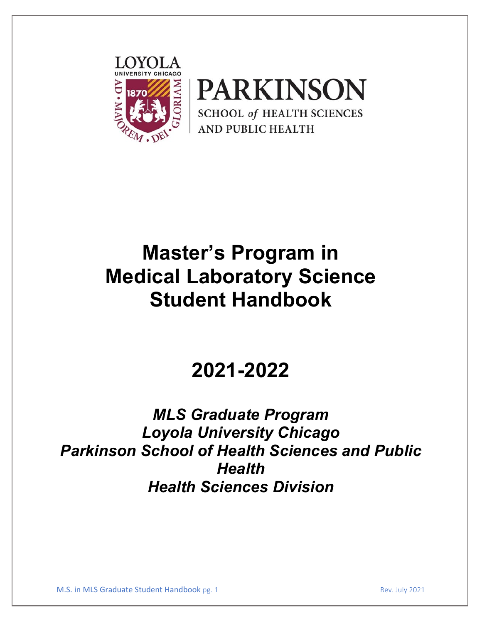



# **Master's Program in Medical Laboratory Science Student Handbook**

# **2021-2022**

# *MLS Graduate Program Loyola University Chicago Parkinson School of Health Sciences and Public Health Health Sciences Division*

M.S. in MLS Graduate Student Handbook pg. 1 Rev. July 2021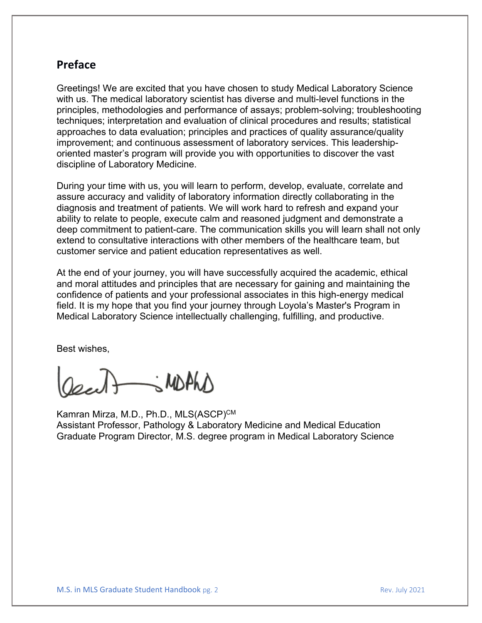# **Preface**

Greetings! We are excited that you have chosen to study Medical Laboratory Science with us. The medical laboratory scientist has diverse and multi-level functions in the principles, methodologies and performance of assays; problem-solving; troubleshooting techniques; interpretation and evaluation of clinical procedures and results; statistical approaches to data evaluation; principles and practices of quality assurance/quality improvement; and continuous assessment of laboratory services. This leadershiporiented master's program will provide you with opportunities to discover the vast discipline of Laboratory Medicine.

During your time with us, you will learn to perform, develop, evaluate, correlate and assure accuracy and validity of laboratory information directly collaborating in the diagnosis and treatment of patients. We will work hard to refresh and expand your ability to relate to people, execute calm and reasoned judgment and demonstrate a deep commitment to patient-care. The communication skills you will learn shall not only extend to consultative interactions with other members of the healthcare team, but customer service and patient education representatives as well.

At the end of your journey, you will have successfully acquired the academic, ethical and moral attitudes and principles that are necessary for gaining and maintaining the confidence of patients and your professional associates in this high-energy medical field. It is my hope that you find your journey through Loyola's Master's Program in Medical Laboratory Science intellectually challenging, fulfilling, and productive.

Best wishes,

Oscillations MDAND

Kamran Mirza, M.D., Ph.D., MLS(ASCP)<sup>CM</sup> Assistant Professor, Pathology & Laboratory Medicine and Medical Education Graduate Program Director, M.S. degree program in Medical Laboratory Science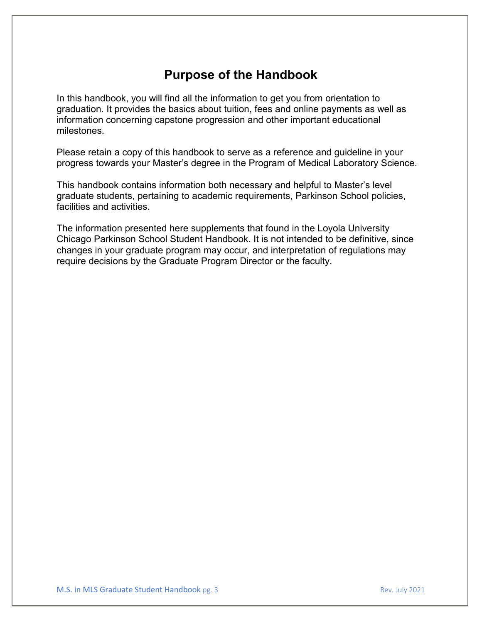# **Purpose of the Handbook**

In this handbook, you will find all the information to get you from orientation to graduation. It provides the basics about tuition, fees and online payments as well as information concerning capstone progression and other important educational milestones.

Please retain a copy of this handbook to serve as a reference and guideline in your progress towards your Master's degree in the Program of Medical Laboratory Science.

This handbook contains information both necessary and helpful to Master's level graduate students, pertaining to academic requirements, Parkinson School policies, facilities and activities.

The information presented here supplements that found in the Loyola University Chicago Parkinson School Student Handbook. It is not intended to be definitive, since changes in your graduate program may occur, and interpretation of regulations may require decisions by the Graduate Program Director or the faculty.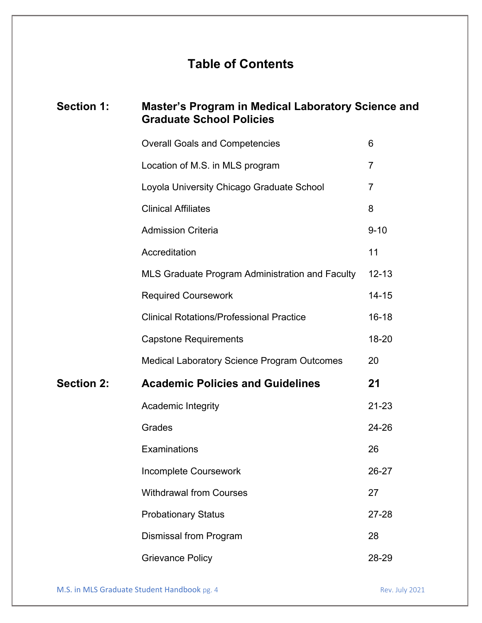# **Table of Contents**

# **Section 1: Master's Program in Medical Laboratory Science and Graduate School Policies** Overall Goals and Competencies 6 Location of M.S. in MLS program 7 Loyola University Chicago Graduate School 7 Clinical Affiliates 8 Admission Criteria **612 September 10 Admission Criteria** 9-10 Accreditation 11 MLS Graduate Program Administration and Faculty 12-13 Required Coursework 14-15 Clinical Rotations/Professional Practice 16-18 Capstone Requirements 18-20 Medical Laboratory Science Program Outcomes 20 **Section 2: Academic Policies and Guidelines 21** Academic Integrity 21-23 Grades 24-26 Examinations 26 Incomplete Coursework 26-27 Withdrawal from Courses 27 Probationary Status 27-28 Dismissal from Program 28 Grievance Policy **28-29**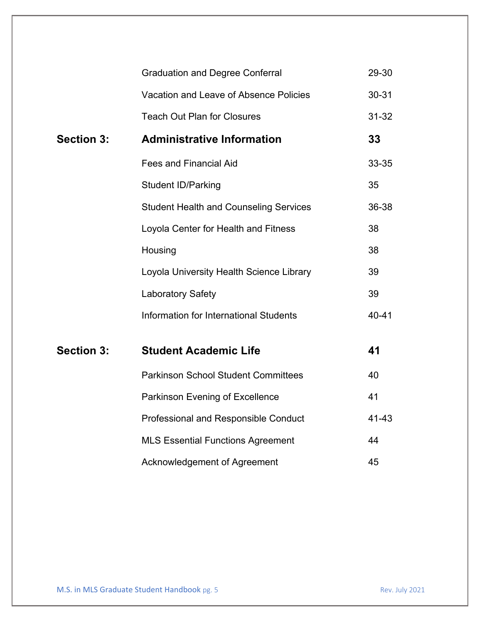|                   | <b>Graduation and Degree Conferral</b>        | 29-30     |
|-------------------|-----------------------------------------------|-----------|
|                   | Vacation and Leave of Absence Policies        | 30-31     |
|                   | <b>Teach Out Plan for Closures</b>            | $31 - 32$ |
| <b>Section 3:</b> | <b>Administrative Information</b>             | 33        |
|                   | <b>Fees and Financial Aid</b>                 | 33-35     |
|                   | <b>Student ID/Parking</b>                     | 35        |
|                   | <b>Student Health and Counseling Services</b> | 36-38     |
|                   | Loyola Center for Health and Fitness          | 38        |
|                   | Housing                                       | 38        |
|                   | Loyola University Health Science Library      | 39        |
|                   | <b>Laboratory Safety</b>                      | 39        |
|                   | Information for International Students        | 40-41     |
| <b>Section 3:</b> | <b>Student Academic Life</b>                  | 41        |
|                   | <b>Parkinson School Student Committees</b>    | 40        |
|                   | Parkinson Evening of Excellence               | 41        |
|                   | Professional and Responsible Conduct          | 41-43     |
|                   | <b>MLS Essential Functions Agreement</b>      | 44        |
|                   | Acknowledgement of Agreement                  | 45        |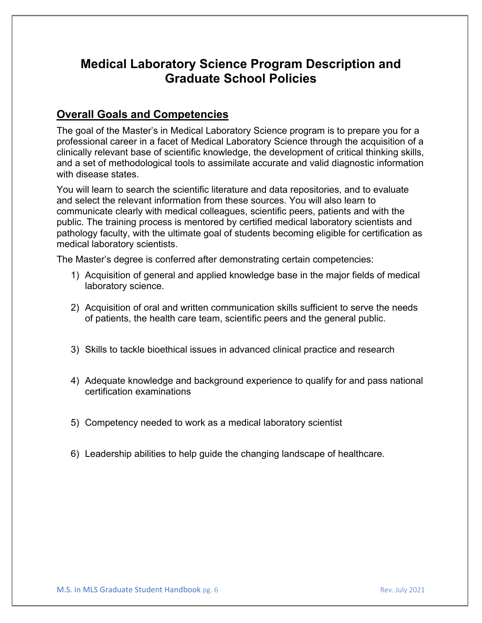# **Medical Laboratory Science Program Description and Graduate School Policies**

# **Overall Goals and Competencies**

The goal of the Master's in Medical Laboratory Science program is to prepare you for a professional career in a facet of Medical Laboratory Science through the acquisition of a clinically relevant base of scientific knowledge, the development of critical thinking skills, and a set of methodological tools to assimilate accurate and valid diagnostic information with disease states.

You will learn to search the scientific literature and data repositories, and to evaluate and select the relevant information from these sources. You will also learn to communicate clearly with medical colleagues, scientific peers, patients and with the public. The training process is mentored by certified medical laboratory scientists and pathology faculty, with the ultimate goal of students becoming eligible for certification as medical laboratory scientists.

The Master's degree is conferred after demonstrating certain competencies:

- 1) Acquisition of general and applied knowledge base in the major fields of medical laboratory science.
- 2) Acquisition of oral and written communication skills sufficient to serve the needs of patients, the health care team, scientific peers and the general public.
- 3) Skills to tackle bioethical issues in advanced clinical practice and research
- 4) Adequate knowledge and background experience to qualify for and pass national certification examinations
- 5) Competency needed to work as a medical laboratory scientist
- 6) Leadership abilities to help guide the changing landscape of healthcare.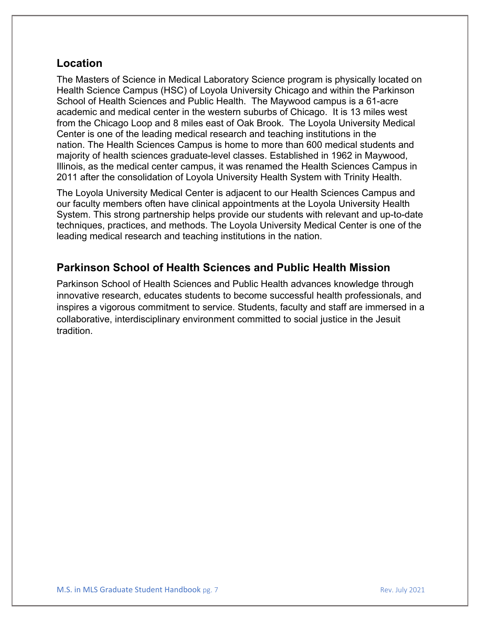# **Location**

The Masters of Science in Medical Laboratory Science program is physically located on Health Science Campus (HSC) of Loyola University Chicago and within the Parkinson School of Health Sciences and Public Health. The Maywood campus is a 61-acre academic and medical center in the western suburbs of Chicago. It is 13 miles west from the Chicago Loop and 8 miles east of Oak Brook. The Loyola University Medical Center is one of the leading medical research and teaching institutions in the nation. The Health Sciences Campus is home to more than 600 medical students and majority of health sciences graduate-level classes. Established in 1962 in Maywood, Illinois, as the medical center campus, it was renamed the Health Sciences Campus in 2011 after the consolidation of Loyola University Health System with Trinity Health.

The Loyola University Medical Center is adjacent to our Health Sciences Campus and our faculty members often have clinical appointments at the Loyola University Health System. This strong partnership helps provide our students with relevant and up-to-date techniques, practices, and methods. The Loyola University Medical Center is one of the leading medical research and teaching institutions in the nation.

# **Parkinson School of Health Sciences and Public Health Mission**

Parkinson School of Health Sciences and Public Health advances knowledge through innovative research, educates students to become successful health professionals, and inspires a vigorous commitment to service. Students, faculty and staff are immersed in a collaborative, interdisciplinary environment committed to social justice in the Jesuit tradition.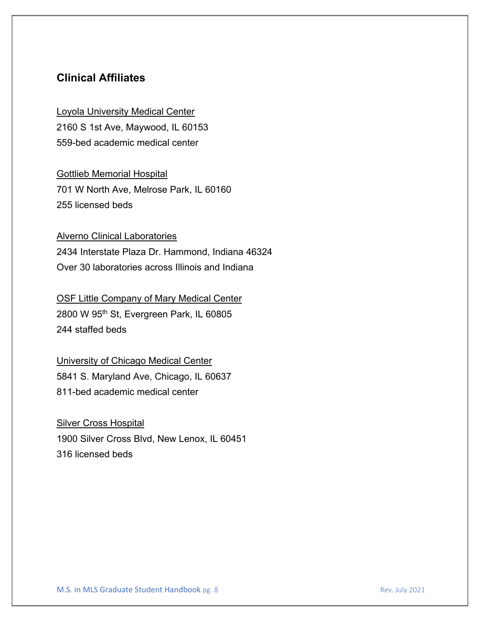# **Clinical Affiliates**

Loyola University Medical Center 2160 S 1st Ave, Maywood, IL 60153 559-bed academic medical center

Gottlieb Memorial Hospital 701 W North Ave, Melrose Park, IL 60160 255 licensed beds

#### Alverno Clinical Laboratories

2434 Interstate Plaza Dr. Hammond, Indiana 46324 Over 30 laboratories across Illinois and Indiana

# OSF Little Company of Mary Medical Center

2800 W 95<sup>th</sup> St, Evergreen Park, IL 60805 244 staffed beds

#### University of Chicago Medical Center

5841 S. Maryland Ave, Chicago, IL 60637 811-bed academic medical center

**Silver Cross Hospital** 1900 Silver Cross Blvd, New Lenox, IL 60451 316 licensed beds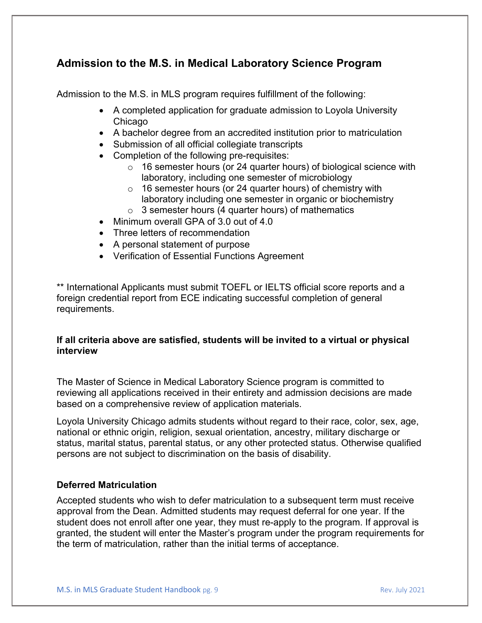# **Admission to the M.S. in Medical Laboratory Science Program**

Admission to the M.S. in MLS program requires fulfillment of the following:

- A completed application for graduate admission to Loyola University **Chicago**
- A bachelor degree from an accredited institution prior to matriculation
- Submission of all official collegiate transcripts
- Completion of the following pre-requisites:
	- o 16 semester hours (or 24 quarter hours) of biological science with laboratory, including one semester of microbiology
	- o 16 semester hours (or 24 quarter hours) of chemistry with laboratory including one semester in organic or biochemistry
	- $\circ$  3 semester hours (4 quarter hours) of mathematics
- Minimum overall GPA of 3.0 out of 4.0
- Three letters of recommendation
- A personal statement of purpose
- Verification of Essential Functions Agreement

\*\* International Applicants must submit TOEFL or IELTS official score reports and a foreign credential report from ECE indicating successful completion of general requirements.

#### **If all criteria above are satisfied, students will be invited to a virtual or physical interview**

The Master of Science in Medical Laboratory Science program is committed to reviewing all applications received in their entirety and admission decisions are made based on a comprehensive review of application materials.

Loyola University Chicago admits students without regard to their race, color, sex, age, national or ethnic origin, religion, sexual orientation, ancestry, military discharge or status, marital status, parental status, or any other protected status. Otherwise qualified persons are not subject to discrimination on the basis of disability.

#### **Deferred Matriculation**

Accepted students who wish to defer matriculation to a subsequent term must receive approval from the Dean. Admitted students may request deferral for one year. If the student does not enroll after one year, they must re-apply to the program. If approval is granted, the student will enter the Master's program under the program requirements for the term of matriculation, rather than the initial terms of acceptance.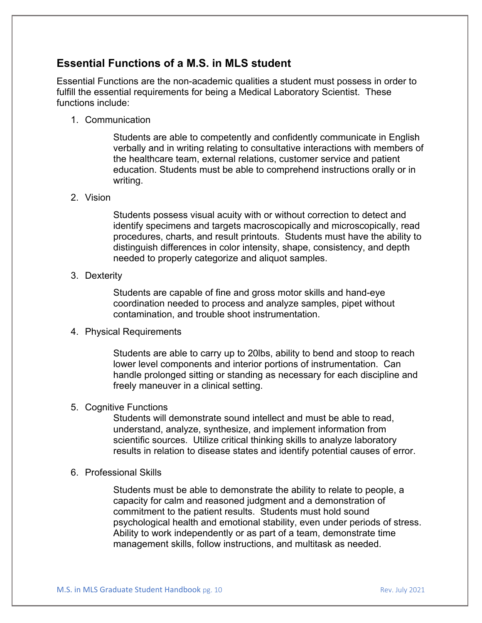# **Essential Functions of a M.S. in MLS student**

Essential Functions are the non-academic qualities a student must possess in order to fulfill the essential requirements for being a Medical Laboratory Scientist. These functions include:

1. Communication

Students are able to competently and confidently communicate in English verbally and in writing relating to consultative interactions with members of the healthcare team, external relations, customer service and patient education. Students must be able to comprehend instructions orally or in writing.

#### 2. Vision

Students possess visual acuity with or without correction to detect and identify specimens and targets macroscopically and microscopically, read procedures, charts, and result printouts. Students must have the ability to distinguish differences in color intensity, shape, consistency, and depth needed to properly categorize and aliquot samples.

#### 3. Dexterity

Students are capable of fine and gross motor skills and hand-eye coordination needed to process and analyze samples, pipet without contamination, and trouble shoot instrumentation.

#### 4. Physical Requirements

Students are able to carry up to 20lbs, ability to bend and stoop to reach lower level components and interior portions of instrumentation. Can handle prolonged sitting or standing as necessary for each discipline and freely maneuver in a clinical setting.

#### 5. Cognitive Functions

Students will demonstrate sound intellect and must be able to read, understand, analyze, synthesize, and implement information from scientific sources. Utilize critical thinking skills to analyze laboratory results in relation to disease states and identify potential causes of error.

#### 6. Professional Skills

Students must be able to demonstrate the ability to relate to people, a capacity for calm and reasoned judgment and a demonstration of commitment to the patient results. Students must hold sound psychological health and emotional stability, even under periods of stress. Ability to work independently or as part of a team, demonstrate time management skills, follow instructions, and multitask as needed.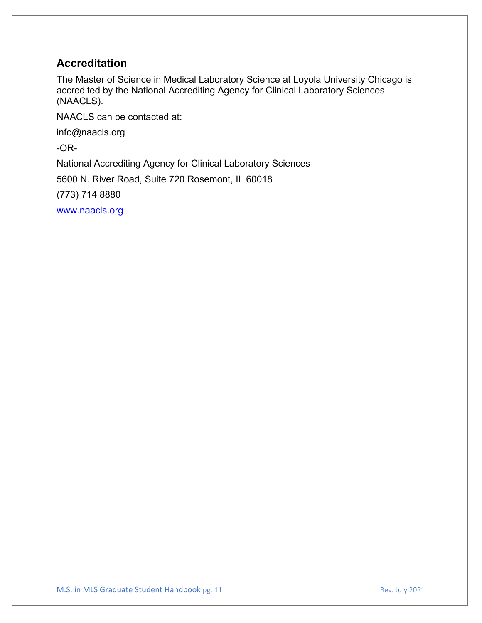# **Accreditation**

The Master of Science in Medical Laboratory Science at Loyola University Chicago is accredited by the National Accrediting Agency for Clinical Laboratory Sciences (NAACLS).

NAACLS can be contacted at:

info@naacls.org

-OR-

National Accrediting Agency for Clinical Laboratory Sciences

5600 N. River Road, Suite 720 Rosemont, IL 60018

(773) 714 8880

[www.naacls.org](http://www.naacls.org/)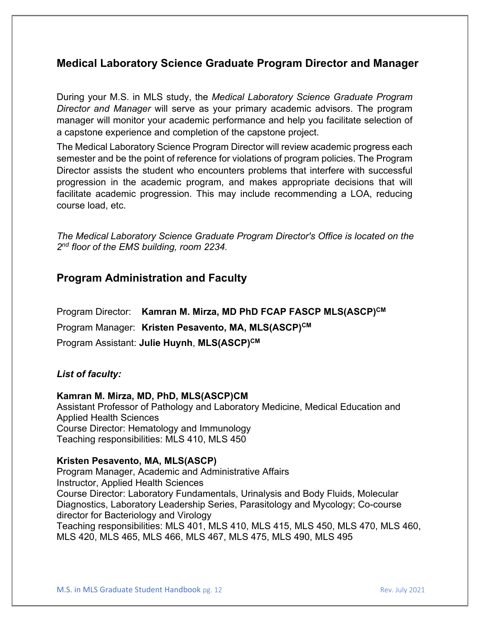# **Medical Laboratory Science Graduate Program Director and Manager**

During your M.S. in MLS study, the *Medical Laboratory Science Graduate Program Director and Manager* will serve as your primary academic advisors. The program manager will monitor your academic performance and help you facilitate selection of a capstone experience and completion of the capstone project.

The Medical Laboratory Science Program Director will review academic progress each semester and be the point of reference for violations of program policies. The Program Director assists the student who encounters problems that interfere with successful progression in the academic program, and makes appropriate decisions that will facilitate academic progression. This may include recommending a LOA, reducing course load, etc.

*The Medical Laboratory Science Graduate Program Director's Office is located on the 2nd floor of the EMS building, room 2234.*

### **Program Administration and Faculty**

Program Director: **Kamran M. Mirza, MD PhD FCAP FASCP MLS(ASCP)CM** Program Manager: **Kristen Pesavento, MA, MLS(ASCP)CM** Program Assistant: **Julie Huynh**, **MLS(ASCP)CM**

#### *List of faculty:*

#### **Kamran M. Mirza, MD, PhD, MLS(ASCP)CM**

Assistant Professor of Pathology and Laboratory Medicine, Medical Education and Applied Health Sciences Course Director: Hematology and Immunology Teaching responsibilities: MLS 410, MLS 450

#### **Kristen Pesavento, MA, MLS(ASCP)**

Program Manager, Academic and Administrative Affairs Instructor, Applied Health Sciences Course Director: Laboratory Fundamentals, Urinalysis and Body Fluids, Molecular Diagnostics, Laboratory Leadership Series, Parasitology and Mycology; Co-course director for Bacteriology and Virology Teaching responsibilities: MLS 401, MLS 410, MLS 415, MLS 450, MLS 470, MLS 460,

MLS 420, MLS 465, MLS 466, MLS 467, MLS 475, MLS 490, MLS 495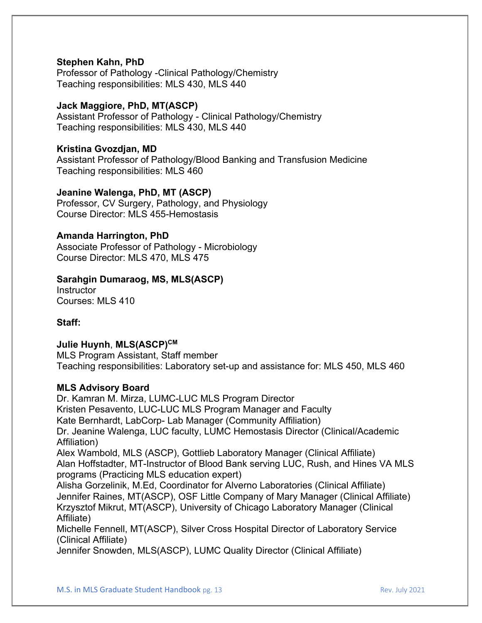#### **Stephen Kahn, PhD**

Professor of Pathology -Clinical Pathology/Chemistry Teaching responsibilities: MLS 430, MLS 440

#### **Jack Maggiore, PhD, MT(ASCP)**

Assistant Professor of Pathology - Clinical Pathology/Chemistry Teaching responsibilities: MLS 430, MLS 440

#### **Kristina Gvozdjan, MD**

Assistant Professor of Pathology/Blood Banking and Transfusion Medicine Teaching responsibilities: MLS 460

#### **Jeanine Walenga, PhD, MT (ASCP)**

Professor, CV Surgery, Pathology, and Physiology Course Director: MLS 455-Hemostasis

#### **Amanda Harrington, PhD**

Associate Professor of Pathology - Microbiology Course Director: MLS 470, MLS 475

#### **Sarahgin Dumaraog, MS, MLS(ASCP)**

**Instructor** Courses: MLS 410

#### **Staff:**

#### **Julie Huynh**, **MLS(ASCP)CM**

MLS Program Assistant, Staff member Teaching responsibilities: Laboratory set-up and assistance for: MLS 450, MLS 460

#### **MLS Advisory Board**

Dr. Kamran M. Mirza, LUMC-LUC MLS Program Director Kristen Pesavento, LUC-LUC MLS Program Manager and Faculty Kate Bernhardt, LabCorp- Lab Manager (Community Affiliation) Dr. Jeanine Walenga, LUC faculty, LUMC Hemostasis Director (Clinical/Academic Affiliation) Alex Wambold, MLS (ASCP), Gottlieb Laboratory Manager (Clinical Affiliate) Alan Hoffstadter, MT-Instructor of Blood Bank serving LUC, Rush, and Hines VA MLS programs (Practicing MLS education expert) Alisha Gorzelinik, M.Ed, Coordinator for Alverno Laboratories (Clinical Affiliate) Jennifer Raines, MT(ASCP), OSF Little Company of Mary Manager (Clinical Affiliate) Krzysztof Mikrut, MT(ASCP), University of Chicago Laboratory Manager (Clinical Affiliate) Michelle Fennell, MT(ASCP), Silver Cross Hospital Director of Laboratory Service (Clinical Affiliate)

Jennifer Snowden, MLS(ASCP), LUMC Quality Director (Clinical Affiliate)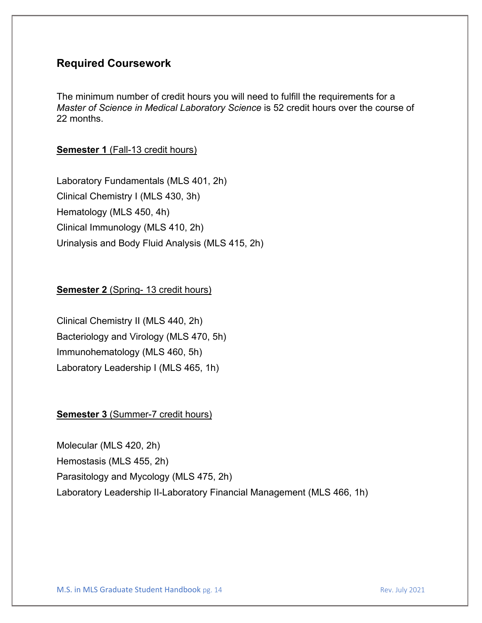# **Required Coursework**

The minimum number of credit hours you will need to fulfill the requirements for a *Master of Science in Medical Laboratory Science* is 52 credit hours over the course of 22 months.

#### **Semester 1 (Fall-13 credit hours)**

Laboratory Fundamentals (MLS 401, 2h) Clinical Chemistry I (MLS 430, 3h) Hematology (MLS 450, 4h) Clinical Immunology (MLS 410, 2h) Urinalysis and Body Fluid Analysis (MLS 415, 2h)

#### **Semester 2 (Spring- 13 credit hours)**

Clinical Chemistry II (MLS 440, 2h) Bacteriology and Virology (MLS 470, 5h) Immunohematology (MLS 460, 5h) Laboratory Leadership I (MLS 465, 1h)

#### **Semester 3 (Summer-7 credit hours)**

Molecular (MLS 420, 2h) Hemostasis (MLS 455, 2h) Parasitology and Mycology (MLS 475, 2h) Laboratory Leadership II-Laboratory Financial Management (MLS 466, 1h)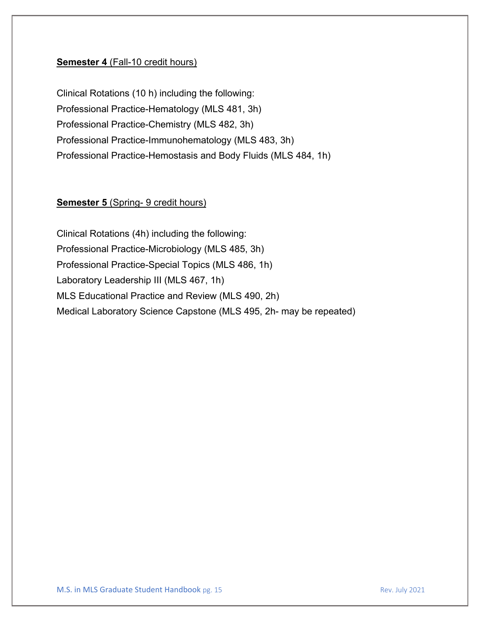#### **Semester 4 (Fall-10 credit hours)**

Clinical Rotations (10 h) including the following: Professional Practice-Hematology (MLS 481, 3h) Professional Practice-Chemistry (MLS 482, 3h) Professional Practice-Immunohematology (MLS 483, 3h) Professional Practice-Hemostasis and Body Fluids (MLS 484, 1h)

#### **Semester 5** (Spring- 9 credit hours)

Clinical Rotations (4h) including the following: Professional Practice-Microbiology (MLS 485, 3h) Professional Practice-Special Topics (MLS 486, 1h) Laboratory Leadership III (MLS 467, 1h) MLS Educational Practice and Review (MLS 490, 2h) Medical Laboratory Science Capstone (MLS 495, 2h- may be repeated)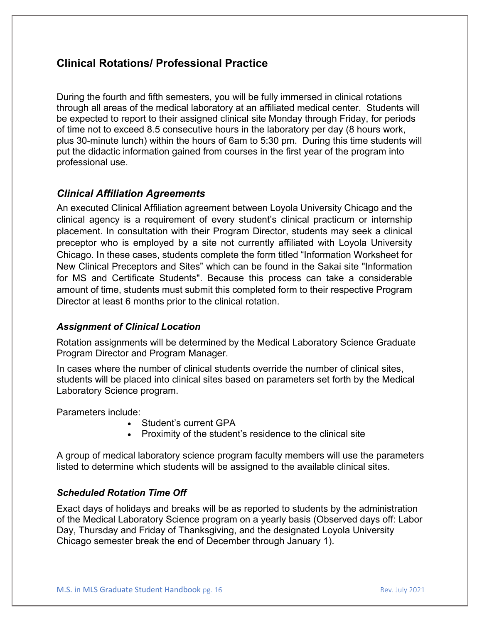# **Clinical Rotations/ Professional Practice**

During the fourth and fifth semesters, you will be fully immersed in clinical rotations through all areas of the medical laboratory at an affiliated medical center. Students will be expected to report to their assigned clinical site Monday through Friday, for periods of time not to exceed 8.5 consecutive hours in the laboratory per day (8 hours work, plus 30-minute lunch) within the hours of 6am to 5:30 pm. During this time students will put the didactic information gained from courses in the first year of the program into professional use.

#### *Clinical Affiliation Agreements*

An executed Clinical Affiliation agreement between Loyola University Chicago and the clinical agency is a requirement of every student's clinical practicum or internship placement. In consultation with their Program Director, students may seek a clinical preceptor who is employed by a site not currently affiliated with Loyola University Chicago. In these cases, students complete the form titled "Information Worksheet for New Clinical Preceptors and Sites" which can be found in the Sakai site "Information for MS and Certificate Students". Because this process can take a considerable amount of time, students must submit this completed form to their respective Program Director at least 6 months prior to the clinical rotation.

#### *Assignment of Clinical Location*

Rotation assignments will be determined by the Medical Laboratory Science Graduate Program Director and Program Manager.

In cases where the number of clinical students override the number of clinical sites, students will be placed into clinical sites based on parameters set forth by the Medical Laboratory Science program.

Parameters include:

- Student's current GPA
- Proximity of the student's residence to the clinical site

A group of medical laboratory science program faculty members will use the parameters listed to determine which students will be assigned to the available clinical sites.

#### *Scheduled Rotation Time Off*

Exact days of holidays and breaks will be as reported to students by the administration of the Medical Laboratory Science program on a yearly basis (Observed days off: Labor Day, Thursday and Friday of Thanksgiving, and the designated Loyola University Chicago semester break the end of December through January 1).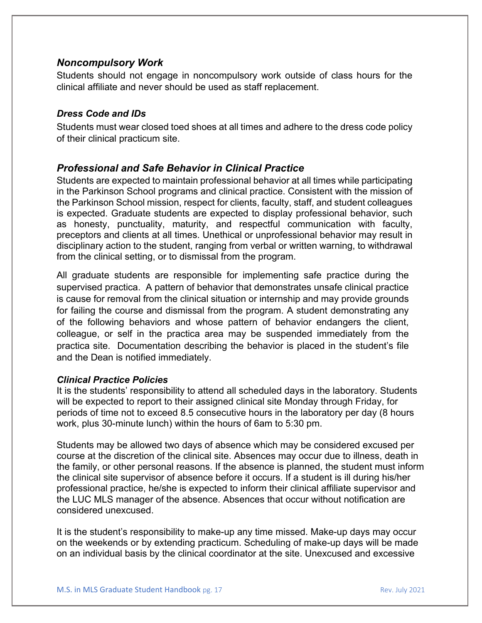#### *Noncompulsory Work*

Students should not engage in noncompulsory work outside of class hours for the clinical affiliate and never should be used as staff replacement.

#### *Dress Code and IDs*

Students must wear closed toed shoes at all times and adhere to the dress code policy of their clinical practicum site.

### *Professional and Safe Behavior in Clinical Practice*

Students are expected to maintain professional behavior at all times while participating in the Parkinson School programs and clinical practice. Consistent with the mission of the Parkinson School mission, respect for clients, faculty, staff, and student colleagues is expected. Graduate students are expected to display professional behavior, such as honesty, punctuality, maturity, and respectful communication with faculty, preceptors and clients at all times. Unethical or unprofessional behavior may result in disciplinary action to the student, ranging from verbal or written warning, to withdrawal from the clinical setting, or to dismissal from the program.

All graduate students are responsible for implementing safe practice during the supervised practica. A pattern of behavior that demonstrates unsafe clinical practice is cause for removal from the clinical situation or internship and may provide grounds for failing the course and dismissal from the program. A student demonstrating any of the following behaviors and whose pattern of behavior endangers the client, colleague, or self in the practica area may be suspended immediately from the practica site. Documentation describing the behavior is placed in the student's file and the Dean is notified immediately.

#### *Clinical Practice Policies*

It is the students' responsibility to attend all scheduled days in the laboratory. Students will be expected to report to their assigned clinical site Monday through Friday, for periods of time not to exceed 8.5 consecutive hours in the laboratory per day (8 hours work, plus 30-minute lunch) within the hours of 6am to 5:30 pm.

Students may be allowed two days of absence which may be considered excused per course at the discretion of the clinical site. Absences may occur due to illness, death in the family, or other personal reasons. If the absence is planned, the student must inform the clinical site supervisor of absence before it occurs. If a student is ill during his/her professional practice, he/she is expected to inform their clinical affiliate supervisor and the LUC MLS manager of the absence. Absences that occur without notification are considered unexcused.

It is the student's responsibility to make-up any time missed. Make-up days may occur on the weekends or by extending practicum. Scheduling of make-up days will be made on an individual basis by the clinical coordinator at the site. Unexcused and excessive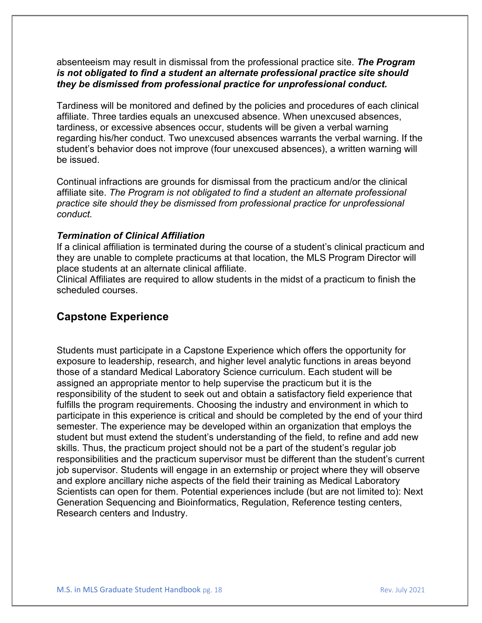absenteeism may result in dismissal from the professional practice site. *The Program is not obligated to find a student an alternate professional practice site should they be dismissed from professional practice for unprofessional conduct.*

Tardiness will be monitored and defined by the policies and procedures of each clinical affiliate. Three tardies equals an unexcused absence. When unexcused absences, tardiness, or excessive absences occur, students will be given a verbal warning regarding his/her conduct. Two unexcused absences warrants the verbal warning. If the student's behavior does not improve (four unexcused absences), a written warning will be issued.

Continual infractions are grounds for dismissal from the practicum and/or the clinical affiliate site. *The Program is not obligated to find a student an alternate professional practice site should they be dismissed from professional practice for unprofessional conduct.* 

#### *Termination of Clinical Affiliation*

If a clinical affiliation is terminated during the course of a student's clinical practicum and they are unable to complete practicums at that location, the MLS Program Director will place students at an alternate clinical affiliate.

Clinical Affiliates are required to allow students in the midst of a practicum to finish the scheduled courses.

# **Capstone Experience**

Students must participate in a Capstone Experience which offers the opportunity for exposure to leadership, research, and higher level analytic functions in areas beyond those of a standard Medical Laboratory Science curriculum. Each student will be assigned an appropriate mentor to help supervise the practicum but it is the responsibility of the student to seek out and obtain a satisfactory field experience that fulfills the program requirements. Choosing the industry and environment in which to participate in this experience is critical and should be completed by the end of your third semester. The experience may be developed within an organization that employs the student but must extend the student's understanding of the field, to refine and add new skills. Thus, the practicum project should not be a part of the student's regular job responsibilities and the practicum supervisor must be different than the student's current job supervisor. Students will engage in an externship or project where they will observe and explore ancillary niche aspects of the field their training as Medical Laboratory Scientists can open for them. Potential experiences include (but are not limited to): Next Generation Sequencing and Bioinformatics, Regulation, Reference testing centers, Research centers and Industry.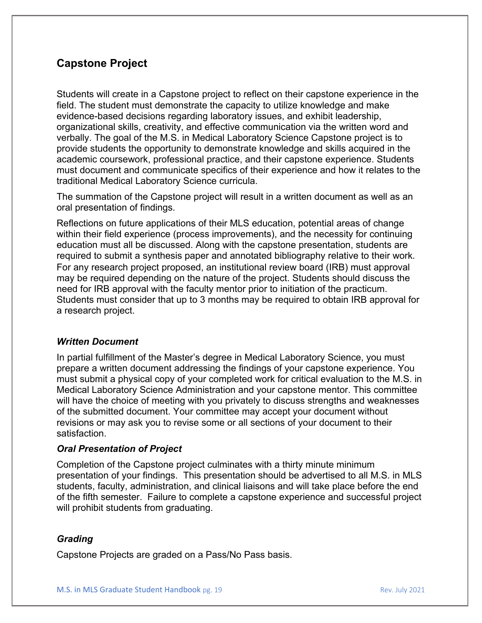# **Capstone Project**

Students will create in a Capstone project to reflect on their capstone experience in the field. The student must demonstrate the capacity to utilize knowledge and make evidence-based decisions regarding laboratory issues, and exhibit leadership, organizational skills, creativity, and effective communication via the written word and verbally. The goal of the M.S. in Medical Laboratory Science Capstone project is to provide students the opportunity to demonstrate knowledge and skills acquired in the academic coursework, professional practice, and their capstone experience. Students must document and communicate specifics of their experience and how it relates to the traditional Medical Laboratory Science curricula.

The summation of the Capstone project will result in a written document as well as an oral presentation of findings.

Reflections on future applications of their MLS education, potential areas of change within their field experience (process improvements), and the necessity for continuing education must all be discussed. Along with the capstone presentation, students are required to submit a synthesis paper and annotated bibliography relative to their work. For any research project proposed, an institutional review board (IRB) must approval may be required depending on the nature of the project. Students should discuss the need for IRB approval with the faculty mentor prior to initiation of the practicum. Students must consider that up to 3 months may be required to obtain IRB approval for a research project.

#### *Written Document*

In partial fulfillment of the Master's degree in Medical Laboratory Science, you must prepare a written document addressing the findings of your capstone experience. You must submit a physical copy of your completed work for critical evaluation to the M.S. in Medical Laboratory Science Administration and your capstone mentor. This committee will have the choice of meeting with you privately to discuss strengths and weaknesses of the submitted document. Your committee may accept your document without revisions or may ask you to revise some or all sections of your document to their satisfaction.

#### *Oral Presentation of Project*

Completion of the Capstone project culminates with a thirty minute minimum presentation of your findings. This presentation should be advertised to all M.S. in MLS students, faculty, administration, and clinical liaisons and will take place before the end of the fifth semester. Failure to complete a capstone experience and successful project will prohibit students from graduating.

#### *Grading*

Capstone Projects are graded on a Pass/No Pass basis.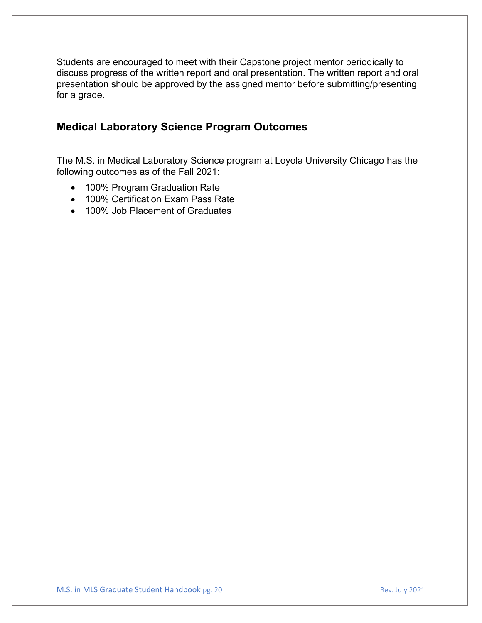Students are encouraged to meet with their Capstone project mentor periodically to discuss progress of the written report and oral presentation. The written report and oral presentation should be approved by the assigned mentor before submitting/presenting for a grade.

# **Medical Laboratory Science Program Outcomes**

The M.S. in Medical Laboratory Science program at Loyola University Chicago has the following outcomes as of the Fall 2021:

- 100% Program Graduation Rate
- 100% Certification Exam Pass Rate
- 100% Job Placement of Graduates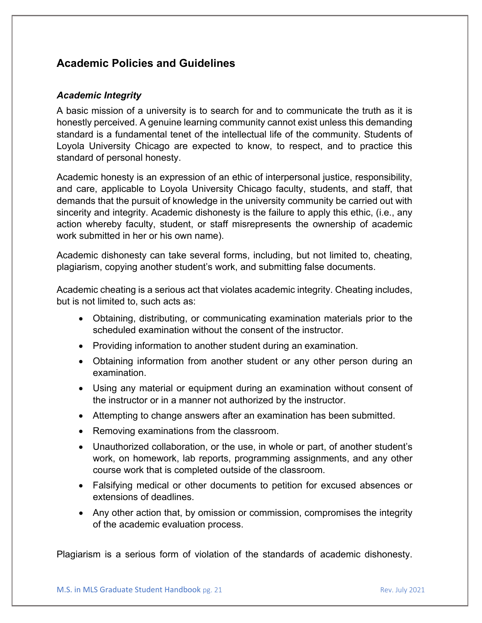# **Academic Policies and Guidelines**

#### *Academic Integrity*

A basic mission of a university is to search for and to communicate the truth as it is honestly perceived. A genuine learning community cannot exist unless this demanding standard is a fundamental tenet of the intellectual life of the community. Students of Loyola University Chicago are expected to know, to respect, and to practice this standard of personal honesty.

Academic honesty is an expression of an ethic of interpersonal justice, responsibility, and care, applicable to Loyola University Chicago faculty, students, and staff, that demands that the pursuit of knowledge in the university community be carried out with sincerity and integrity. Academic dishonesty is the failure to apply this ethic, (i.e., any action whereby faculty, student, or staff misrepresents the ownership of academic work submitted in her or his own name).

Academic dishonesty can take several forms, including, but not limited to, cheating, plagiarism, copying another student's work, and submitting false documents.

Academic cheating is a serious act that violates academic integrity. Cheating includes, but is not limited to, such acts as:

- Obtaining, distributing, or communicating examination materials prior to the scheduled examination without the consent of the instructor.
- Providing information to another student during an examination.
- Obtaining information from another student or any other person during an examination.
- Using any material or equipment during an examination without consent of the instructor or in a manner not authorized by the instructor.
- Attempting to change answers after an examination has been submitted.
- Removing examinations from the classroom.
- Unauthorized collaboration, or the use, in whole or part, of another student's work, on homework, lab reports, programming assignments, and any other course work that is completed outside of the classroom.
- Falsifying medical or other documents to petition for excused absences or extensions of deadlines.
- Any other action that, by omission or commission, compromises the integrity of the academic evaluation process.

Plagiarism is a serious form of violation of the standards of academic dishonesty.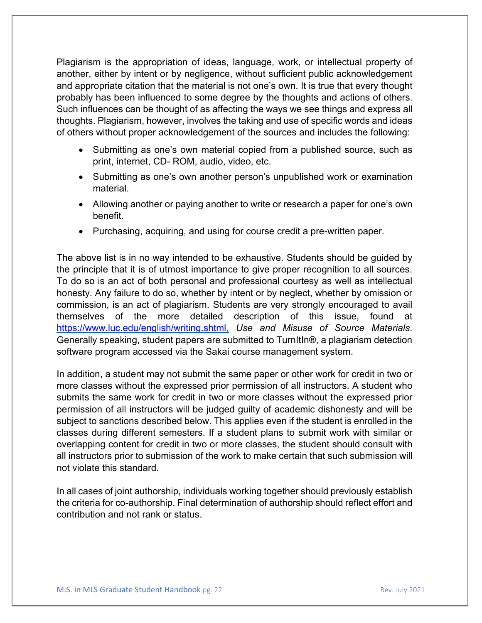Plagiarism is the appropriation of ideas, language, work, or intellectual property of another, either by intent or by negligence, without sufficient public acknowledgement and appropriate citation that the material is not one's own. It is true that every thought probably has been influenced to some degree by the thoughts and actions of others. Such influences can be thought of as affecting the ways we see things and express all thoughts. Plagiarism, however, involves the taking and use of specific words and ideas of others without proper acknowledgement of the sources and includes the following:

- Submitting as one's own material copied from a published source, such as print, internet, CD- ROM, audio, video, etc.
- Submitting as one's own another person's unpublished work or examination material.
- Allowing another or paying another to write or research a paper for one's own benefit.
- Purchasing, acquiring, and using for course credit a pre-written paper.

The above list is in no way intended to be exhaustive. Students should be guided by the principle that it is of utmost importance to give proper recognition to all sources. To do so is an act of both personal and professional courtesy as well as intellectual honesty. Any failure to do so, whether by intent or by neglect, whether by omission or commission, is an act of plagiarism. Students are very strongly encouraged to avail themselves of the more detailed description of this issue, found at [https://www.luc.edu/english/writing.shtml,](https://www.luc.edu/english/writing.shtml) *Use and Misuse of Source Materials*. Generally speaking, student papers are submitted to TurnItIn®, a plagiarism detection software program accessed via the Sakai course management system.

In addition, a student may not submit the same paper or other work for credit in two or more classes without the expressed prior permission of all instructors. A student who submits the same work for credit in two or more classes without the expressed prior permission of all instructors will be judged guilty of academic dishonesty and will be subject to sanctions described below. This applies even if the student is enrolled in the classes during different semesters. If a student plans to submit work with similar or overlapping content for credit in two or more classes, the student should consult with all instructors prior to submission of the work to make certain that such submission will not violate this standard.

In all cases of joint authorship, individuals working together should previously establish the criteria for co-authorship. Final determination of authorship should reflect effort and contribution and not rank or status.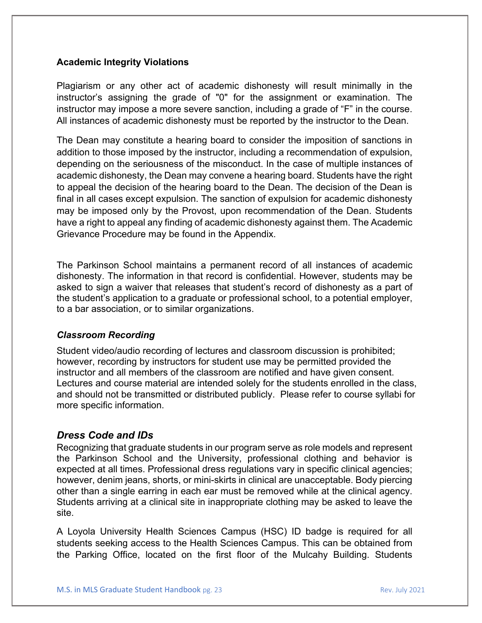#### **Academic Integrity Violations**

Plagiarism or any other act of academic dishonesty will result minimally in the instructor's assigning the grade of "0" for the assignment or examination. The instructor may impose a more severe sanction, including a grade of "F" in the course. All instances of academic dishonesty must be reported by the instructor to the Dean.

The Dean may constitute a hearing board to consider the imposition of sanctions in addition to those imposed by the instructor, including a recommendation of expulsion, depending on the seriousness of the misconduct. In the case of multiple instances of academic dishonesty, the Dean may convene a hearing board. Students have the right to appeal the decision of the hearing board to the Dean. The decision of the Dean is final in all cases except expulsion. The sanction of expulsion for academic dishonesty may be imposed only by the Provost, upon recommendation of the Dean. Students have a right to appeal any finding of academic dishonesty against them. The Academic Grievance Procedure may be found in the Appendix.

The Parkinson School maintains a permanent record of all instances of academic dishonesty. The information in that record is confidential. However, students may be asked to sign a waiver that releases that student's record of dishonesty as a part of the student's application to a graduate or professional school, to a potential employer, to a bar association, or to similar organizations.

#### *Classroom Recording*

Student video/audio recording of lectures and classroom discussion is prohibited; however, recording by instructors for student use may be permitted provided the instructor and all members of the classroom are notified and have given consent. Lectures and course material are intended solely for the students enrolled in the class, and should not be transmitted or distributed publicly. Please refer to course syllabi for more specific information.

#### *Dress Code and IDs*

Recognizing that graduate students in our program serve as role models and represent the Parkinson School and the University, professional clothing and behavior is expected at all times. Professional dress regulations vary in specific clinical agencies; however, denim jeans, shorts, or mini-skirts in clinical are unacceptable. Body piercing other than a single earring in each ear must be removed while at the clinical agency. Students arriving at a clinical site in inappropriate clothing may be asked to leave the site.

A Loyola University Health Sciences Campus (HSC) ID badge is required for all students seeking access to the Health Sciences Campus. This can be obtained from the Parking Office, located on the first floor of the Mulcahy Building. Students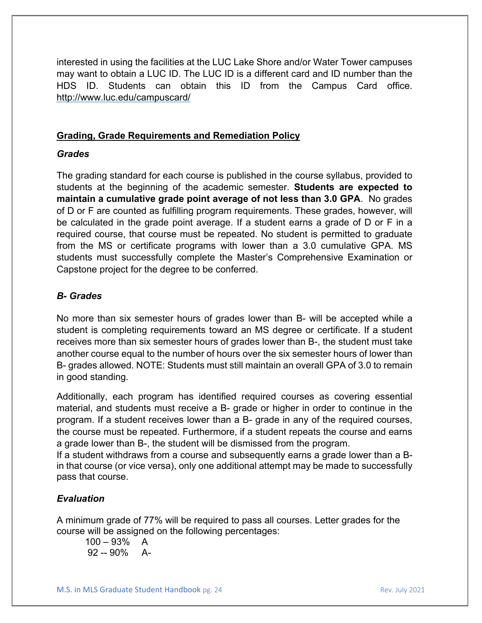interested in using the facilities at the LUC Lake Shore and/or Water Tower campuses may want to obtain a LUC ID. The LUC ID is a different card and ID number than the HDS ID. Students can obtain this ID from the Campus Card office. <http://www.luc.edu/campuscard/>

#### **Grading, Grade Requirements and Remediation Policy**

#### *Grades*

The grading standard for each course is published in the course syllabus, provided to students at the beginning of the academic semester. **Students are expected to maintain a cumulative grade point average of not less than 3.0 GPA**. No grades of D or F are counted as fulfilling program requirements. These grades, however, will be calculated in the grade point average. If a student earns a grade of D or F in a required course, that course must be repeated. No student is permitted to graduate from the MS or certificate programs with lower than a 3.0 cumulative GPA. MS students must successfully complete the Master's Comprehensive Examination or Capstone project for the degree to be conferred.

#### *B- Grades*

No more than six semester hours of grades lower than B- will be accepted while a student is completing requirements toward an MS degree or certificate. If a student receives more than six semester hours of grades lower than B-, the student must take another course equal to the number of hours over the six semester hours of lower than B- grades allowed. NOTE: Students must still maintain an overall GPA of 3.0 to remain in good standing.

Additionally, each program has identified required courses as covering essential material, and students must receive a B- grade or higher in order to continue in the program. If a student receives lower than a B- grade in any of the required courses, the course must be repeated. Furthermore, if a student repeats the course and earns a grade lower than B-, the student will be dismissed from the program.

If a student withdraws from a course and subsequently earns a grade lower than a Bin that course (or vice versa), only one additional attempt may be made to successfully pass that course.

#### *Evaluation*

A minimum grade of 77% will be required to pass all courses. Letter grades for the course will be assigned on the following percentages:

 $100 - 93\%$  A 92 -- 90% A-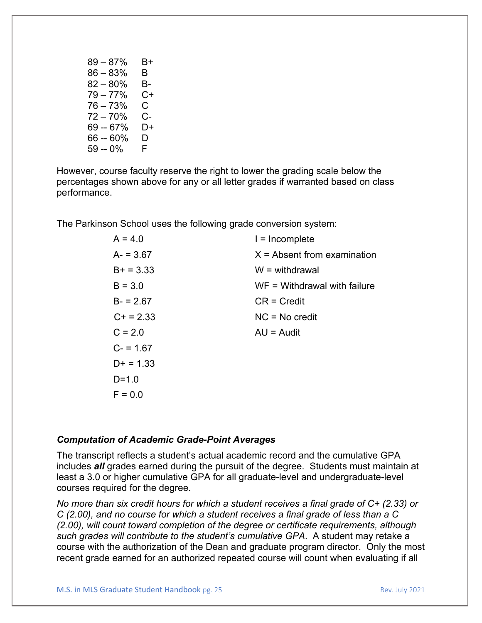| $89 - 87\%$ | В+ |
|-------------|----|
| $86 - 83%$  | В  |
| $82 - 80%$  | В- |
| $79 - 77%$  | C+ |
| $76 - 73%$  | C. |
| $72 - 70%$  | C- |
| 69 -- 67%   | D+ |
| 66 -- 60%   | D  |
| 59 -- 0%    | F. |
|             |    |

However, course faculty reserve the right to lower the grading scale below the percentages shown above for any or all letter grades if warranted based on class performance.

The Parkinson School uses the following grade conversion system:

| $A = 4.0$   | $l = Incomplete$               |
|-------------|--------------------------------|
| $A = 3.67$  | $X =$ Absent from examination  |
| $B+ = 3.33$ | $W =$ withdrawal               |
| $B = 3.0$   | $WF = Withdrawal with failure$ |
| $B = 2.67$  | $CR = Credit$                  |
| $C+ = 2.33$ | $NC = No credit$               |
| $C = 2.0$   | $AU =$ Audit                   |
| $C = 1.67$  |                                |
| $D+ = 1.33$ |                                |
| $D = 1.0$   |                                |
| $F = 0.0$   |                                |

#### *Computation of Academic Grade-Point Averages*

The transcript reflects a student's actual academic record and the cumulative GPA includes *all* grades earned during the pursuit of the degree. Students must maintain at least a 3.0 or higher cumulative GPA for all graduate-level and undergraduate-level courses required for the degree.

*No more than six credit hours for which a student receives a final grade of C+ (2.33) or C (2.00), and no course for which a student receives a final grade of less than a C (2.00), will count toward completion of the degree or certificate requirements, although such grades will contribute to the student's cumulative GPA*. A student may retake a course with the authorization of the Dean and graduate program director. Only the most recent grade earned for an authorized repeated course will count when evaluating if all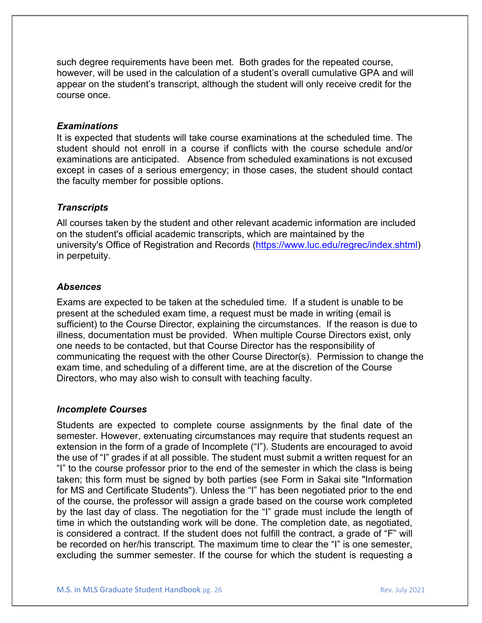such degree requirements have been met. Both grades for the repeated course, however, will be used in the calculation of a student's overall cumulative GPA and will appear on the student's transcript, although the student will only receive credit for the course once.

#### *Examinations*

It is expected that students will take course examinations at the scheduled time. The student should not enroll in a course if conflicts with the course schedule and/or examinations are anticipated. Absence from scheduled examinations is not excused except in cases of a serious emergency; in those cases, the student should contact the faculty member for possible options.

#### *Transcripts*

All courses taken by the student and other relevant academic information are included on the student's official academic transcripts, which are maintained by the university's [Office of Registration and Records](http://www.luc.edu/regrec) [\(https://www.luc.edu/regrec/index.shtml\)](https://www.luc.edu/regrec/index.shtml) in perpetuity.

#### *Absences*

Exams are expected to be taken at the scheduled time. If a student is unable to be present at the scheduled exam time, a request must be made in writing (email is sufficient) to the Course Director, explaining the circumstances. If the reason is due to illness, documentation must be provided. When multiple Course Directors exist, only one needs to be contacted, but that Course Director has the responsibility of communicating the request with the other Course Director(s). Permission to change the exam time, and scheduling of a different time, are at the discretion of the Course Directors, who may also wish to consult with teaching faculty.

#### *Incomplete Courses*

Students are expected to complete course assignments by the final date of the semester. However, extenuating circumstances may require that students request an extension in the form of a grade of Incomplete ("I"). Students are encouraged to avoid the use of "I" grades if at all possible. The student must submit a written request for an "I" to the course professor prior to the end of the semester in which the class is being taken; this form must be signed by both parties (see Form in Sakai site "Information for MS and Certificate Students"). Unless the "I" has been negotiated prior to the end of the course, the professor will assign a grade based on the course work completed by the last day of class. The negotiation for the "I" grade must include the length of time in which the outstanding work will be done. The completion date, as negotiated, is considered a contract. If the student does not fulfill the contract, a grade of "F" will be recorded on her/his transcript. The maximum time to clear the "I" is one semester, excluding the summer semester. If the course for which the student is requesting a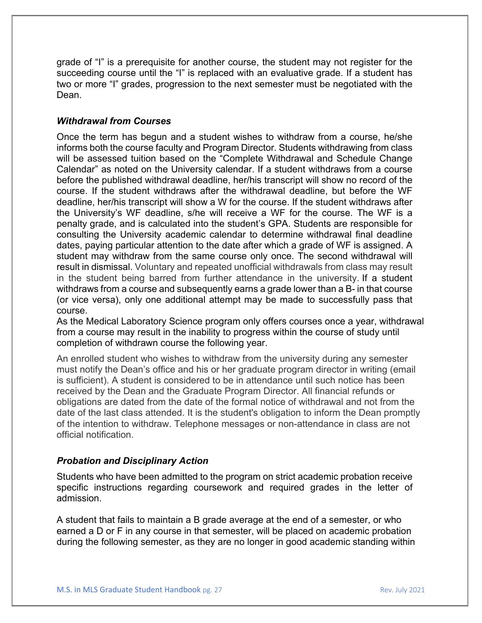grade of "I" is a prerequisite for another course, the student may not register for the succeeding course until the "I" is replaced with an evaluative grade. If a student has two or more "I" grades, progression to the next semester must be negotiated with the Dean.

#### *Withdrawal from Courses*

Once the term has begun and a student wishes to withdraw from a course, he/she informs both the course faculty and Program Director. Students withdrawing from class will be assessed tuition based on the "Complete Withdrawal and Schedule Change Calendar" as noted on the University calendar. If a student withdraws from a course before the published withdrawal deadline, her/his transcript will show no record of the course. If the student withdraws after the withdrawal deadline, but before the WF deadline, her/his transcript will show a W for the course. If the student withdraws after the University's WF deadline, s/he will receive a WF for the course. The WF is a penalty grade, and is calculated into the student's GPA. Students are responsible for consulting the University academic calendar to determine withdrawal final deadline dates, paying particular attention to the date after which a grade of WF is assigned. A student may withdraw from the same course only once. The second withdrawal will result in dismissal. Voluntary and repeated unofficial withdrawals from class may result in the student being barred from further attendance in the university. If a student withdraws from a course and subsequently earns a grade lower than a B- in that course (or vice versa), only one additional attempt may be made to successfully pass that course.

As the Medical Laboratory Science program only offers courses once a year, withdrawal from a course may result in the inability to progress within the course of study until completion of withdrawn course the following year.

An enrolled student who wishes to withdraw from the university during any semester must notify the Dean's office and his or her graduate program director in writing (email is sufficient). A student is considered to be in attendance until such notice has been received by the Dean and the Graduate Program Director. All financial refunds or obligations are dated from the date of the formal notice of withdrawal and not from the date of the last class attended. It is the student's obligation to inform the Dean promptly of the intention to withdraw. Telephone messages or non-attendance in class are not official notification.

#### *Probation and Disciplinary Action*

Students who have been admitted to the program on strict academic probation receive specific instructions regarding coursework and required grades in the letter of admission.

A student that fails to maintain a B grade average at the end of a semester, or who earned a D or F in any course in that semester, will be placed on academic probation during the following semester, as they are no longer in good academic standing within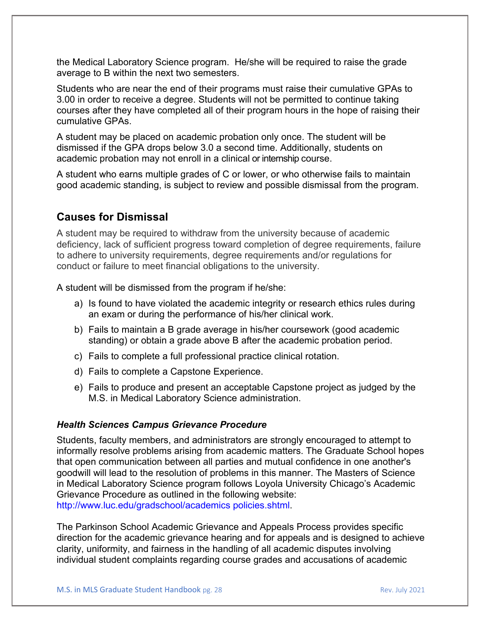the Medical Laboratory Science program. He/she will be required to raise the grade average to B within the next two semesters.

Students who are near the end of their programs must raise their cumulative GPAs to 3.00 in order to receive a degree. Students will not be permitted to continue taking courses after they have completed all of their program hours in the hope of raising their cumulative GPAs.

A student may be placed on academic probation only once. The student will be dismissed if the GPA drops below 3.0 a second time. Additionally, students on academic probation may not enroll in a clinical or internship course.

A student who earns multiple grades of C or lower, or who otherwise fails to maintain good academic standing, is subject to review and possible dismissal from the program.

#### **Causes for Dismissal**

A student may be required to withdraw from the university because of academic deficiency, lack of sufficient progress toward completion of degree requirements, failure to adhere to university requirements, degree requirements and/or regulations for conduct or failure to meet financial obligations to the university.

A student will be dismissed from the program if he/she:

- a) Is found to have violated the academic integrity or research ethics rules during an exam or during the performance of his/her clinical work.
- b) Fails to maintain a B grade average in his/her coursework (good academic standing) or obtain a grade above B after the academic probation period.
- c) Fails to complete a full professional practice clinical rotation.
- d) Fails to complete a Capstone Experience.
- e) Fails to produce and present an acceptable Capstone project as judged by the M.S. in Medical Laboratory Science administration.

#### *Health Sciences Campus Grievance Procedure*

Students, faculty members, and administrators are strongly encouraged to attempt to informally resolve problems arising from academic matters. The Graduate School hopes that open communication between all parties and mutual confidence in one another's goodwill will lead to the resolution of problems in this manner. The Masters of Science in Medical Laboratory Science program follows Loyola University Chicago's Academic Grievance Procedure as outlined in the following website: http://www.luc.edu/gradschool/academics policies.shtml.

The Parkinson School Academic Grievance and Appeals Process provides specific direction for the academic grievance hearing and for appeals and is designed to achieve clarity, uniformity, and fairness in the handling of all academic disputes involving individual student complaints regarding course grades and accusations of academic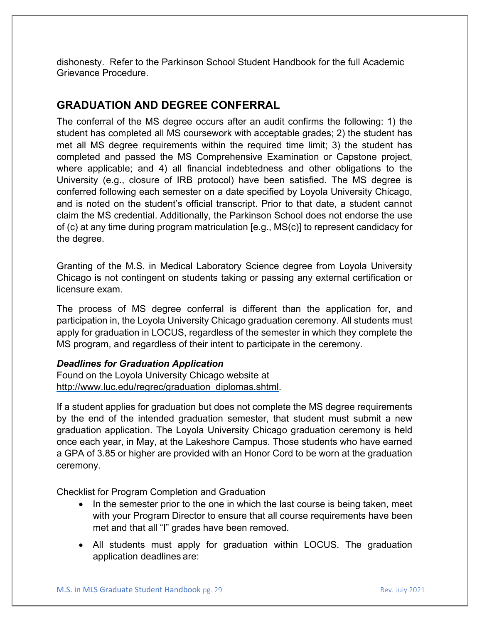dishonesty. Refer to the Parkinson School Student Handbook for the full Academic Grievance Procedure.

# **GRADUATION AND DEGREE CONFERRAL**

The conferral of the MS degree occurs after an audit confirms the following: 1) the student has completed all MS coursework with acceptable grades; 2) the student has met all MS degree requirements within the required time limit; 3) the student has completed and passed the MS Comprehensive Examination or Capstone project, where applicable; and 4) all financial indebtedness and other obligations to the University (e.g., closure of IRB protocol) have been satisfied. The MS degree is conferred following each semester on a date specified by Loyola University Chicago, and is noted on the student's official transcript. Prior to that date, a student cannot claim the MS credential. Additionally, the Parkinson School does not endorse the use of (c) at any time during program matriculation [e.g., MS(c)] to represent candidacy for the degree.

Granting of the M.S. in Medical Laboratory Science degree from Loyola University Chicago is not contingent on students taking or passing any external certification or licensure exam.

The process of MS degree conferral is different than the application for, and participation in, the Loyola University Chicago graduation ceremony. All students must apply for graduation in LOCUS, regardless of the semester in which they complete the MS program, and regardless of their intent to participate in the ceremony.

#### *Deadlines for Graduation Application*

Found on the Loyola University Chicago website at [http://www.luc.edu/regrec/graduation\\_diplomas.shtml.](http://www.luc.edu/regrec/graduation_diplomas.shtml)

If a student applies for graduation but does not complete the MS degree requirements by the end of the intended graduation semester, that student must submit a new graduation application. The Loyola University Chicago graduation ceremony is held once each year, in May, at the Lakeshore Campus. Those students who have earned a GPA of 3.85 or higher are provided with an Honor Cord to be worn at the graduation ceremony.

Checklist for Program Completion and Graduation

- In the semester prior to the one in which the last course is being taken, meet with your Program Director to ensure that all course requirements have been met and that all "I" grades have been removed.
- All students must apply for graduation within LOCUS. The graduation application deadlines are: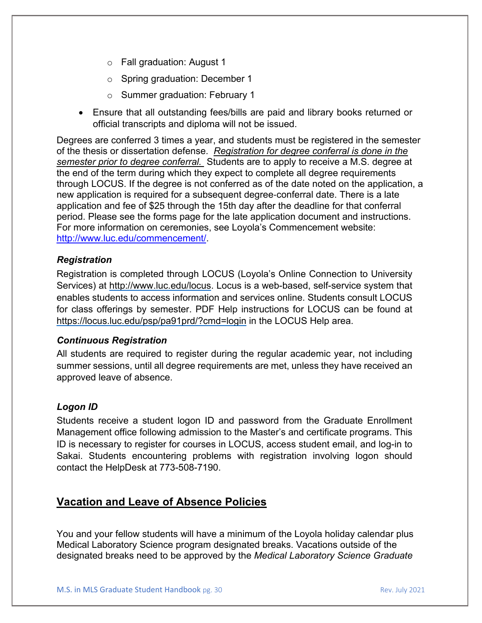- o Fall graduation: August 1
- o Spring graduation: December 1
- o Summer graduation: February 1
- Ensure that all outstanding fees/bills are paid and library books returned or official transcripts and diploma will not be issued.

Degrees are conferred 3 times a year, and students must be registered in the semester of the thesis or dissertation defense. *Registration for degree conferral is done in the semester prior to degree conferral.* Students are to apply to receive a M.S. degree at the end of the term during which they expect to complete all degree requirements through LOCUS. If the degree is not conferred as of the date noted on the application, a new application is required for a subsequent degree‐conferral date. There is a late application and fee of \$25 through the 15th day after the deadline for that conferral period. Please see the forms page for the late application document and instructions. For more information on ceremonies, see Loyola's Commencement website: [http://www.luc.edu/commencement/.](http://www.luc.edu/commencement/)

#### *Registration*

Registration is completed through LOCUS (Loyola's Online Connection to University Services) at [http://www.luc.edu/locus.](http://www.luc.edu/locus) Locus is a web-based, self-service system that enables students to access information and services online. Students consult LOCUS for class offerings by semester. PDF Help instructions for LOCUS can be found at <https://locus.luc.edu/psp/pa91prd/?cmd=login> in the LOCUS Help area.

#### *Continuous Registration*

All students are required to register during the regular academic year, not including summer sessions, until all degree requirements are met, unless they have received an approved leave of absence.

#### *Logon ID*

Students receive a student logon ID and password from the Graduate Enrollment Management office following admission to the Master's and certificate programs. This ID is necessary to register for courses in LOCUS, access student email, and log-in to Sakai. Students encountering problems with registration involving logon should contact the HelpDesk at 773-508-7190.

# **Vacation and Leave of Absence Policies**

You and your fellow students will have a minimum of the Loyola holiday calendar plus Medical Laboratory Science program designated breaks. Vacations outside of the designated breaks need to be approved by the *Medical Laboratory Science Graduate*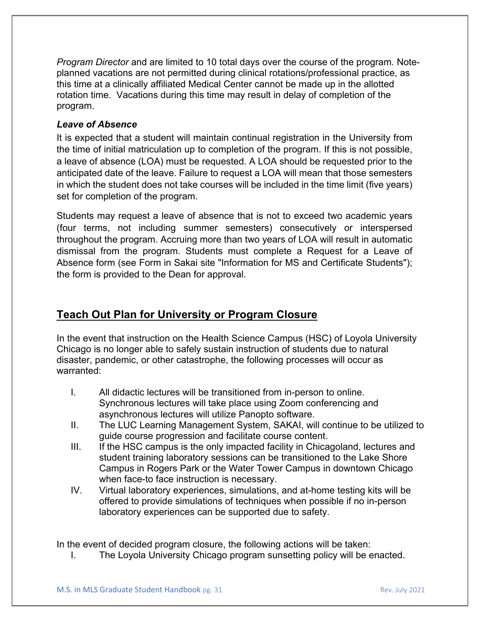*Program Director* and are limited to 10 total days over the course of the program*.* Noteplanned vacations are not permitted during clinical rotations/professional practice, as this time at a clinically affiliated Medical Center cannot be made up in the allotted rotation time. Vacations during this time may result in delay of completion of the program.

#### *Leave of Absence*

It is expected that a student will maintain continual registration in the University from the time of initial matriculation up to completion of the program. If this is not possible, a leave of absence (LOA) must be requested. A LOA should be requested prior to the anticipated date of the leave. Failure to request a LOA will mean that those semesters in which the student does not take courses will be included in the time limit (five years) set for completion of the program.

Students may request a leave of absence that is not to exceed two academic years (four terms, not including summer semesters) consecutively or interspersed throughout the program. Accruing more than two years of LOA will result in automatic dismissal from the program. Students must complete a Request for a Leave of Absence form (see Form in Sakai site "Information for MS and Certificate Students"); the form is provided to the Dean for approval.

# **Teach Out Plan for University or Program Closure**

In the event that instruction on the Health Science Campus (HSC) of Loyola University Chicago is no longer able to safely sustain instruction of students due to natural disaster, pandemic, or other catastrophe, the following processes will occur as warranted:

- I. All didactic lectures will be transitioned from in-person to online. Synchronous lectures will take place using Zoom conferencing and asynchronous lectures will utilize Panopto software.
- II. The LUC Learning Management System, SAKAI, will continue to be utilized to guide course progression and facilitate course content.
- III. If the HSC campus is the only impacted facility in Chicagoland, lectures and student training laboratory sessions can be transitioned to the Lake Shore Campus in Rogers Park or the Water Tower Campus in downtown Chicago when face-to face instruction is necessary.
- IV. Virtual laboratory experiences, simulations, and at-home testing kits will be offered to provide simulations of techniques when possible if no in-person laboratory experiences can be supported due to safety.

In the event of decided program closure, the following actions will be taken:

I. The Loyola University Chicago program sunsetting policy will be enacted.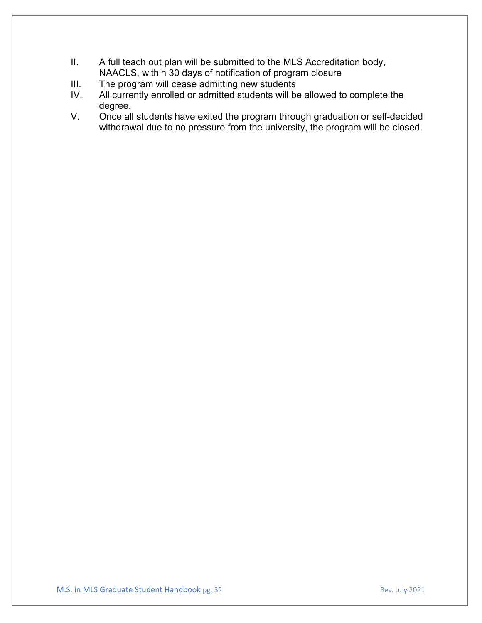- II. A full teach out plan will be submitted to the MLS Accreditation body, NAACLS, within 30 days of notification of program closure
- III. The program will cease admitting new students
- IV. All currently enrolled or admitted students will be allowed to complete the degree.
- V. Once all students have exited the program through graduation or self-decided withdrawal due to no pressure from the university, the program will be closed.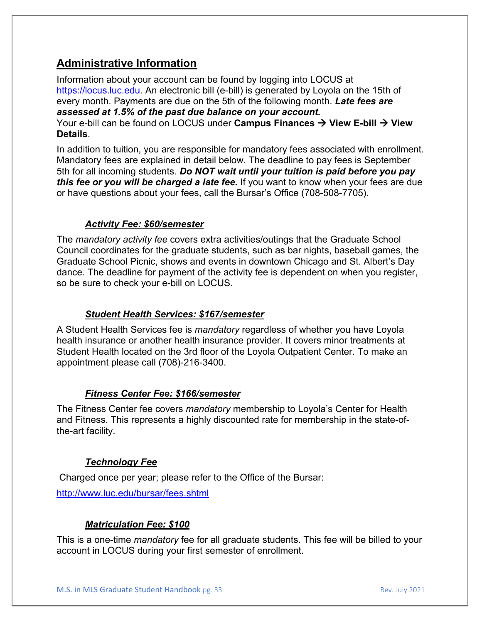# **Administrative Information**

Information about your account can be found by logging into LOCUS at https://locus.luc.edu. An electronic bill (e-bill) is generated by Loyola on the 15th of every month. Payments are due on the 5th of the following month. *Late fees are assessed at 1.5% of the past due balance on your account.* Your e-bill can be found on LOCUS under **Campus Finances → View E-bill → View Details**.

In addition to tuition, you are responsible for mandatory fees associated with enrollment. Mandatory fees are explained in detail below. The deadline to pay fees is September 5th for all incoming students. *Do NOT wait until your tuition is paid before you pay this fee or you will be charged a late fee.* If you want to know when your fees are due or have questions about your fees, call the Bursar's Office (708-508-7705).

#### *Activity Fee: \$60/semester*

The *mandatory activity fee* covers extra activities/outings that the Graduate School Council coordinates for the graduate students, such as bar nights, baseball games, the Graduate School Picnic, shows and events in downtown Chicago and St. Albert's Day dance. The deadline for payment of the activity fee is dependent on when you register, so be sure to check your e-bill on LOCUS.

#### *Student Health Services: \$167/semester*

A Student Health Services fee is *mandatory* regardless of whether you have Loyola health insurance or another health insurance provider. It covers minor treatments at Student Health located on the 3rd floor of the Loyola Outpatient Center. To make an appointment please call (708)-216-3400.

#### *Fitness Center Fee: \$166/semester*

The Fitness Center fee covers *mandatory* membership to Loyola's Center for Health and Fitness. This represents a highly discounted rate for membership in the state-ofthe-art facility.

#### *Technology Fee*

Charged once per year; please refer to the Office of the Bursar:

<http://www.luc.edu/bursar/fees.shtml>

#### *Matriculation Fee: \$100*

This is a one-time *mandatory* fee for all graduate students. This fee will be billed to your account in LOCUS during your first semester of enrollment.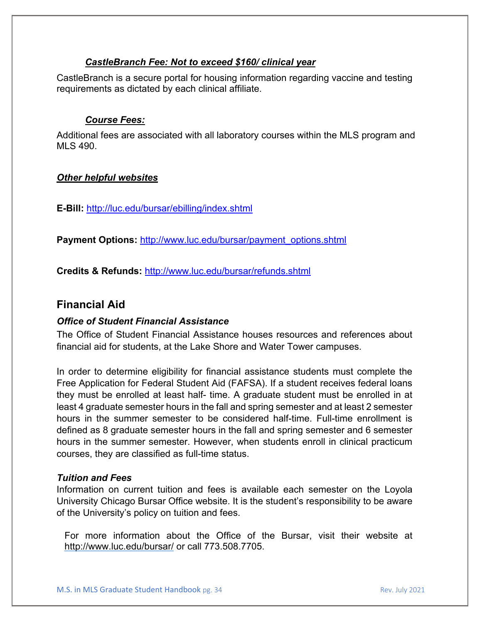#### *CastleBranch Fee: Not to exceed \$160/ clinical year*

CastleBranch is a secure portal for housing information regarding vaccine and testing requirements as dictated by each clinical affiliate.

#### *Course Fees:*

Additional fees are associated with all laboratory courses within the MLS program and MLS 490.

#### *Other helpful websites*

**E-Bill:** <http://luc.edu/bursar/ebilling/index.shtml>

**Payment Options:** [http://www.luc.edu/bursar/payment\\_options.shtml](http://www.luc.edu/bursar/payment_options.shtml)

**Credits & Refunds:** <http://www.luc.edu/bursar/refunds.shtml>

#### **Financial Aid**

#### *Office of Student Financial Assistance*

The Office of Student Financial Assistance houses resources and references about financial aid for students, at the Lake Shore and Water Tower campuses.

In order to determine eligibility for financial assistance students must complete the Free Application for Federal Student Aid (FAFSA). If a student receives federal loans they must be enrolled at least half- time. A graduate student must be enrolled in at least 4 graduate semester hours in the fall and spring semester and at least 2 semester hours in the summer semester to be considered half-time. Full-time enrollment is defined as 8 graduate semester hours in the fall and spring semester and 6 semester hours in the summer semester. However, when students enroll in clinical practicum courses, they are classified as full-time status.

#### *Tuition and Fees*

Information on current tuition and fees is available each semester on the Loyola University Chicago Bursar Office website. It is the student's responsibility to be aware of the University's policy on tuition and fees.

For more information about the Office of the Bursar, visit their website at <http://www.luc.edu/bursar/> or call 773.508.7705.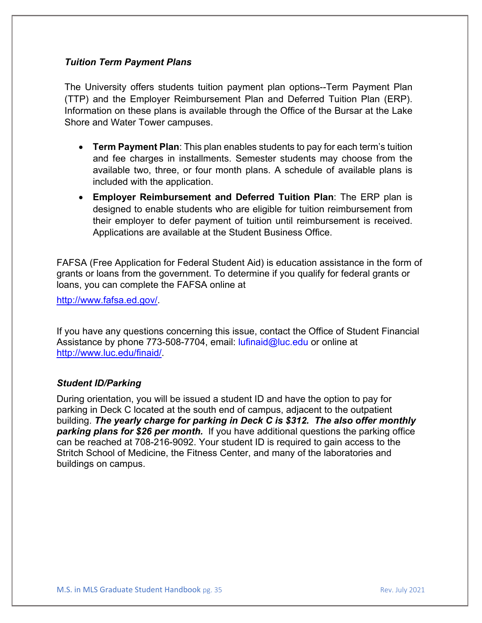#### *Tuition Term Payment Plans*

The University offers students tuition payment plan options--Term Payment Plan (TTP) and the Employer Reimbursement Plan and Deferred Tuition Plan (ERP). Information on these plans is available through the Office of the Bursar at the Lake Shore and Water Tower campuses.

- **Term Payment Plan**: This plan enables students to pay for each term's tuition and fee charges in installments. Semester students may choose from the available two, three, or four month plans. A schedule of available plans is included with the application.
- **Employer Reimbursement and Deferred Tuition Plan**: The ERP plan is designed to enable students who are eligible for tuition reimbursement from their employer to defer payment of tuition until reimbursement is received. Applications are available at the Student Business Office.

FAFSA (Free Application for Federal Student Aid) is education assistance in the form of grants or loans from the government. To determine if you qualify for federal grants or loans, you can complete the FAFSA online at

[http://www.fafsa.ed.gov/.](http://www.fafsa.ed.gov/)

If you have any questions concerning this issue, contact the Office of Student Financial Assistance by phone 773-508-7704, email: lufinaid@luc.edu or online at [http://www.luc.edu/finaid/.](http://www.luc.edu/finaid/)

#### *Student ID/Parking*

During orientation, you will be issued a student ID and have the option to pay for parking in Deck C located at the south end of campus, adjacent to the outpatient building. *The yearly charge for parking in Deck C is \$312. The also offer monthly*  **parking plans for \$26 per month.** If you have additional questions the parking office can be reached at 708-216-9092. Your student ID is required to gain access to the Stritch School of Medicine, the Fitness Center, and many of the laboratories and buildings on campus.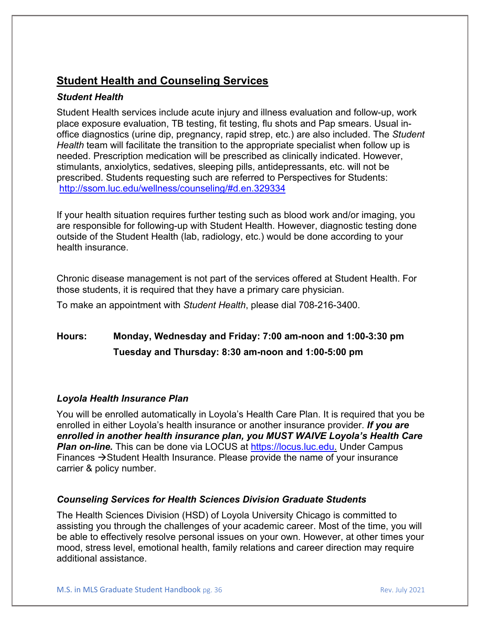# **Student Health and Counseling Services**

#### *Student Health*

Student Health services include acute injury and illness evaluation and follow-up, work place exposure evaluation, TB testing, fit testing, flu shots and Pap smears. Usual inoffice diagnostics (urine dip, pregnancy, rapid strep, etc.) are also included. The *Student Health* team will facilitate the transition to the appropriate specialist when follow up is needed. Prescription medication will be prescribed as clinically indicated. However, stimulants, anxiolytics, sedatives, sleeping pills, antidepressants, etc. will not be prescribed. Students requesting such are referred to Perspectives for Students: <http://ssom.luc.edu/wellness/counseling/#d.en.329334>

If your health situation requires further testing such as blood work and/or imaging, you are responsible for following-up with Student Health. However, diagnostic testing done outside of the Student Health (lab, radiology, etc.) would be done according to your health insurance.

Chronic disease management is not part of the services offered at Student Health. For those students, it is required that they have a primary care physician.

To make an appointment with *Student Health*, please dial 708-216-3400.

# **Hours: Monday, Wednesday and Friday: 7:00 am-noon and 1:00-3:30 pm Tuesday and Thursday: 8:30 am-noon and 1:00-5:00 pm**

#### *Loyola Health Insurance Plan*

You will be enrolled automatically in Loyola's Health Care Plan. It is required that you be enrolled in either Loyola's health insurance or another insurance provider. *If you are enrolled in another health insurance plan, you MUST WAIVE Loyola's Health Care*  **Plan on-line.** This can be done via LOCUS at https://locus.luc.edu. Under Campus Finances  $\rightarrow$  Student Health Insurance. Please provide the name of your insurance carrier & policy number.

#### *Counseling Services for Health Sciences Division Graduate Students*

The Health Sciences Division (HSD) of Loyola University Chicago is committed to assisting you through the challenges of your academic career. Most of the time, you will be able to effectively resolve personal issues on your own. However, at other times your mood, stress level, emotional health, family relations and career direction may require additional assistance.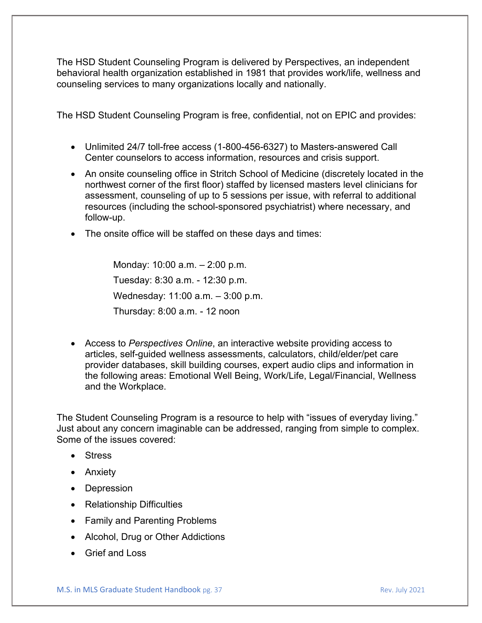The HSD Student Counseling Program is delivered by Perspectives, an independent behavioral health organization established in 1981 that provides work/life, wellness and counseling services to many organizations locally and nationally.

The HSD Student Counseling Program is free, confidential, not on EPIC and provides:

- Unlimited 24/7 toll-free access (1-800-456-6327) to Masters-answered Call Center counselors to access information, resources and crisis support.
- An onsite counseling office in Stritch School of Medicine (discretely located in the northwest corner of the first floor) staffed by licensed masters level clinicians for assessment, counseling of up to 5 sessions per issue, with referral to additional resources (including the school-sponsored psychiatrist) where necessary, and follow-up.
- The onsite office will be staffed on these days and times:

Monday: 10:00 a.m. – 2:00 p.m. Tuesday: 8:30 a.m. - 12:30 p.m. Wednesday: 11:00 a.m. – 3:00 p.m. Thursday: 8:00 a.m. - 12 noon

• Access to *Perspectives Online*, an interactive website providing access to articles, self-guided wellness assessments, calculators, child/elder/pet care provider databases, skill building courses, expert audio clips and information in the following areas: Emotional Well Being, Work/Life, Legal/Financial, Wellness and the Workplace.

The Student Counseling Program is a resource to help with "issues of everyday living." Just about any concern imaginable can be addressed, ranging from simple to complex. Some of the issues covered:

- Stress
- Anxiety
- Depression
- Relationship Difficulties
- Family and Parenting Problems
- Alcohol, Drug or Other Addictions
- Grief and Loss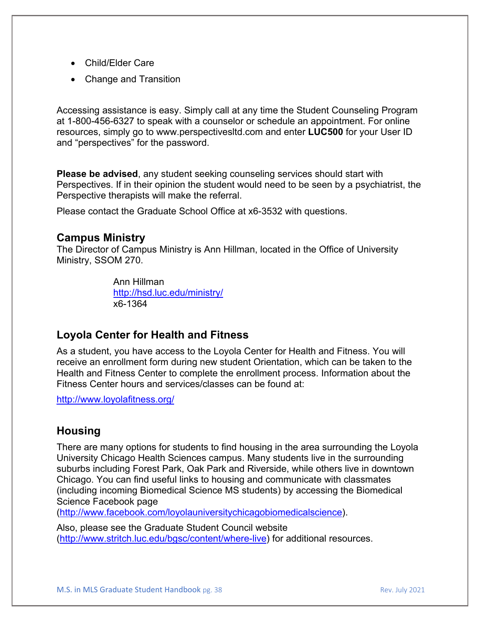- Child/Elder Care
- Change and Transition

Accessing assistance is easy. Simply call at any time the Student Counseling Program at 1-800-456-6327 to speak with a counselor or schedule an appointment. For online resources, simply go to www.perspectivesltd.com and enter **LUC500** for your User ID and "perspectives" for the password.

**Please be advised**, any student seeking counseling services should start with Perspectives. If in their opinion the student would need to be seen by a psychiatrist, the Perspective therapists will make the referral.

Please contact the Graduate School Office at x6-3532 with questions.

#### **Campus Ministry**

The Director of Campus Ministry is Ann Hillman, located in the Office of University Ministry, SSOM 270.

> Ann Hillman <http://hsd.luc.edu/ministry/> x6-1364

# **Loyola Center for Health and Fitness**

As a student, you have access to the Loyola Center for Health and Fitness. You will receive an enrollment form during new student Orientation, which can be taken to the Health and Fitness Center to complete the enrollment process. Information about the Fitness Center hours and services/classes can be found at:

<http://www.loyolafitness.org/>

#### **Housing**

There are many options for students to find housing in the area surrounding the Loyola University Chicago Health Sciences campus. Many students live in the surrounding suburbs including Forest Park, Oak Park and Riverside, while others live in downtown Chicago. You can find useful links to housing and communicate with classmates (including incoming Biomedical Science MS students) by accessing the Biomedical Science Facebook page

[\(http://www.facebook.com/loyolauniversitychicagobiomedicalscience\)](http://www.facebook.com/loyolauniversitychicagobiomedicalscience).

Also, please see the Graduate Student Council website [\(http://www.stritch.luc.edu/bgsc/content/where-live\)](http://www.stritch.luc.edu/bgsc/content/where-live) for additional resources.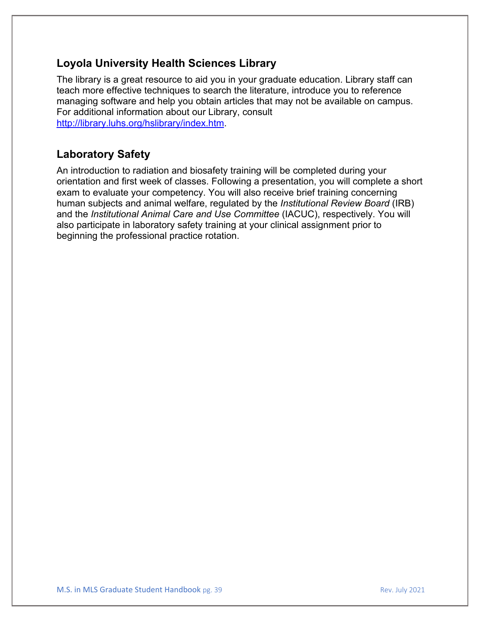# **Loyola University Health Sciences Library**

The library is a great resource to aid you in your graduate education. Library staff can teach more effective techniques to search the literature, introduce you to reference managing software and help you obtain articles that may not be available on campus. For additional information about our Library, consult [http://library.luhs.org/hslibrary/index.htm.](http://library.luhs.org/hslibrary/index.htm)

# **Laboratory Safety**

An introduction to radiation and biosafety training will be completed during your orientation and first week of classes. Following a presentation, you will complete a short exam to evaluate your competency. You will also receive brief training concerning human subjects and animal welfare, regulated by the *Institutional Review Board* (IRB) and the *Institutional Animal Care and Use Committee* (IACUC), respectively. You will also participate in laboratory safety training at your clinical assignment prior to beginning the professional practice rotation.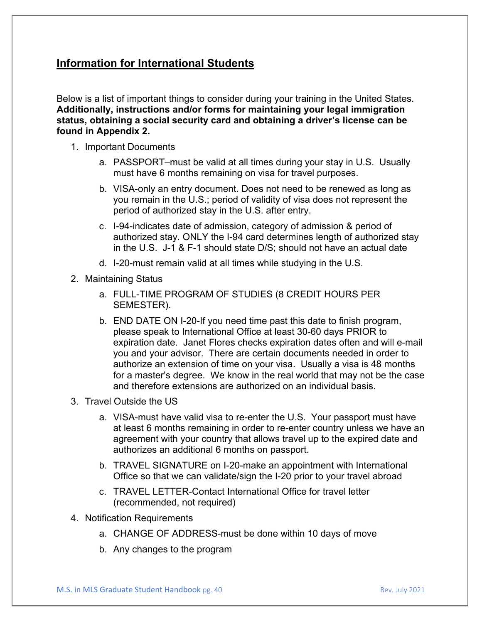# **Information for International Students**

Below is a list of important things to consider during your training in the United States. **Additionally, instructions and/or forms for maintaining your legal immigration status, obtaining a social security card and obtaining a driver's license can be found in Appendix 2.**

- 1. Important Documents
	- a. PASSPORT–must be valid at all times during your stay in U.S. Usually must have 6 months remaining on visa for travel purposes.
	- b. VISA-only an entry document. Does not need to be renewed as long as you remain in the U.S.; period of validity of visa does not represent the period of authorized stay in the U.S. after entry.
	- c. I-94-indicates date of admission, category of admission & period of authorized stay. ONLY the I-94 card determines length of authorized stay in the U.S. J-1 & F-1 should state D/S; should not have an actual date
	- d. I-20-must remain valid at all times while studying in the U.S.
- 2. Maintaining Status
	- a. FULL-TIME PROGRAM OF STUDIES (8 CREDIT HOURS PER SEMESTER).
	- b. END DATE ON I-20-If you need time past this date to finish program, please speak to International Office at least 30-60 days PRIOR to expiration date. Janet Flores checks expiration dates often and will e-mail you and your advisor. There are certain documents needed in order to authorize an extension of time on your visa. Usually a visa is 48 months for a master's degree. We know in the real world that may not be the case and therefore extensions are authorized on an individual basis.
- 3. Travel Outside the US
	- a. VISA-must have valid visa to re-enter the U.S. Your passport must have at least 6 months remaining in order to re-enter country unless we have an agreement with your country that allows travel up to the expired date and authorizes an additional 6 months on passport.
	- b. TRAVEL SIGNATURE on I-20-make an appointment with International Office so that we can validate/sign the I-20 prior to your travel abroad
	- c. TRAVEL LETTER-Contact International Office for travel letter (recommended, not required)
- 4. Notification Requirements
	- a. CHANGE OF ADDRESS-must be done within 10 days of move
	- b. Any changes to the program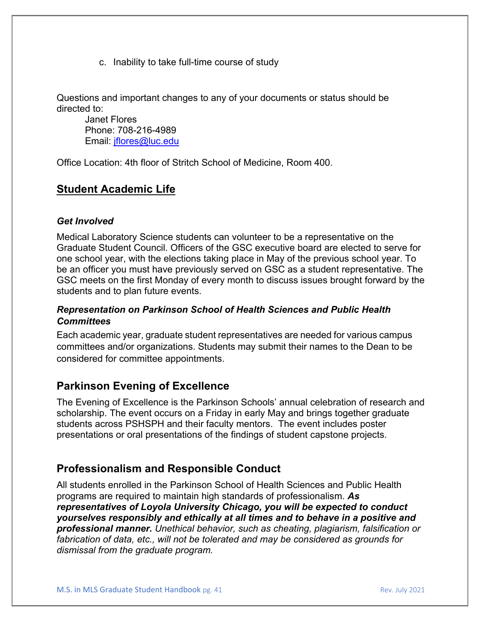c. Inability to take full-time course of study

Questions and important changes to any of your documents or status should be directed to:

Janet Flores Phone: 708-216-4989 Email: [jflores@luc.edu](mailto:jflores@luc.edu)

Office Location: 4th floor of Stritch School of Medicine, Room 400.

# **Student Academic Life**

#### *Get Involved*

Medical Laboratory Science students can volunteer to be a representative on the Graduate Student Council. Officers of the GSC executive board are elected to serve for one school year, with the elections taking place in May of the previous school year. To be an officer you must have previously served on GSC as a student representative. The GSC meets on the first Monday of every month to discuss issues brought forward by the students and to plan future events.

#### *Representation on Parkinson School of Health Sciences and Public Health Committees*

Each academic year, graduate student representatives are needed for various campus committees and/or organizations. Students may submit their names to the Dean to be considered for committee appointments.

# **Parkinson Evening of Excellence**

The Evening of Excellence is the Parkinson Schools' annual celebration of research and scholarship. The event occurs on a Friday in early May and brings together graduate students across PSHSPH and their faculty mentors. The event includes poster presentations or oral presentations of the findings of student capstone projects.

# **Professionalism and Responsible Conduct**

All students enrolled in the Parkinson School of Health Sciences and Public Health programs are required to maintain high standards of professionalism. *As representatives of Loyola University Chicago, you will be expected to conduct yourselves responsibly and ethically at all times and to behave in a positive and professional manner. Unethical behavior, such as cheating, plagiarism, falsification or fabrication of data, etc., will not be tolerated and may be considered as grounds for dismissal from the graduate program.*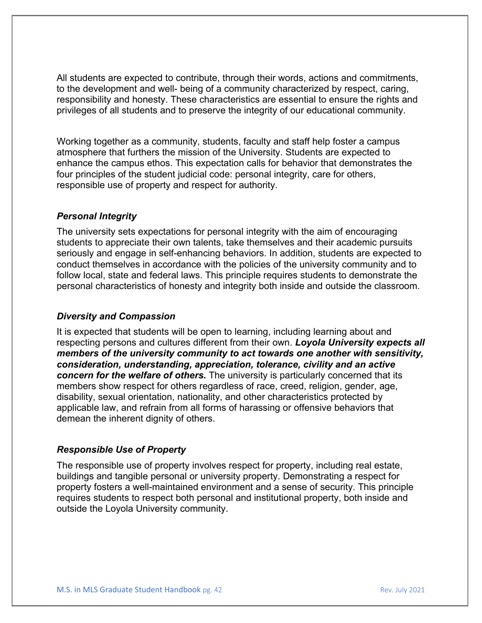All students are expected to contribute, through their words, actions and commitments, to the development and well- being of a community characterized by respect, caring, responsibility and honesty. These characteristics are essential to ensure the rights and privileges of all students and to preserve the integrity of our educational community.

Working together as a community, students, faculty and staff help foster a campus atmosphere that furthers the mission of the University. Students are expected to enhance the campus ethos. This expectation calls for behavior that demonstrates the four principles of the student judicial code: personal integrity, care for others, responsible use of property and respect for authority.

#### *Personal Integrity*

The university sets expectations for personal integrity with the aim of encouraging students to appreciate their own talents, take themselves and their academic pursuits seriously and engage in self-enhancing behaviors. In addition, students are expected to conduct themselves in accordance with the policies of the university community and to follow local, state and federal laws. This principle requires students to demonstrate the personal characteristics of honesty and integrity both inside and outside the classroom.

#### *Diversity and Compassion*

It is expected that students will be open to learning, including learning about and respecting persons and cultures different from their own. *Loyola University expects all members of the university community to act towards one another with sensitivity, consideration, understanding, appreciation, tolerance, civility and an active concern for the welfare of others.* The university is particularly concerned that its members show respect for others regardless of race, creed, religion, gender, age, disability, sexual orientation, nationality, and other characteristics protected by applicable law, and refrain from all forms of harassing or offensive behaviors that demean the inherent dignity of others.

#### *Responsible Use of Property*

The responsible use of property involves respect for property, including real estate, buildings and tangible personal or university property. Demonstrating a respect for property fosters a well-maintained environment and a sense of security. This principle requires students to respect both personal and institutional property, both inside and outside the Loyola University community.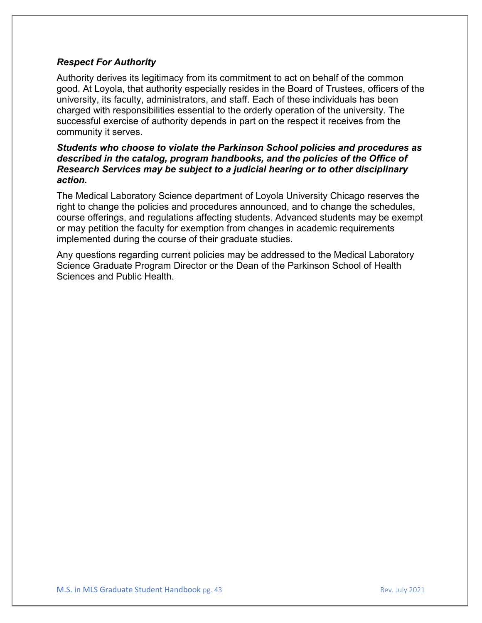#### *Respect For Authority*

Authority derives its legitimacy from its commitment to act on behalf of the common good. At Loyola, that authority especially resides in the Board of Trustees, officers of the university, its faculty, administrators, and staff. Each of these individuals has been charged with responsibilities essential to the orderly operation of the university. The successful exercise of authority depends in part on the respect it receives from the community it serves.

#### *Students who choose to violate the Parkinson School policies and procedures as described in the catalog, program handbooks, and the policies of the Office of Research Services may be subject to a judicial hearing or to other disciplinary action.*

The Medical Laboratory Science department of Loyola University Chicago reserves the right to change the policies and procedures announced, and to change the schedules, course offerings, and regulations affecting students. Advanced students may be exempt or may petition the faculty for exemption from changes in academic requirements implemented during the course of their graduate studies.

Any questions regarding current policies may be addressed to the Medical Laboratory Science Graduate Program Director or the Dean of the Parkinson School of Health Sciences and Public Health.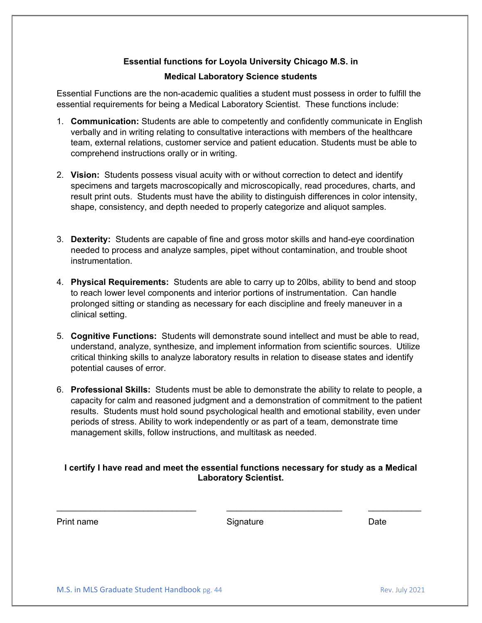# **Essential functions for Loyola University Chicago M.S. in**

#### **Medical Laboratory Science students**

Essential Functions are the non-academic qualities a student must possess in order to fulfill the essential requirements for being a Medical Laboratory Scientist. These functions include:

- 1. **Communication:** Students are able to competently and confidently communicate in English verbally and in writing relating to consultative interactions with members of the healthcare team, external relations, customer service and patient education. Students must be able to comprehend instructions orally or in writing.
- 2. **Vision:** Students possess visual acuity with or without correction to detect and identify specimens and targets macroscopically and microscopically, read procedures, charts, and result print outs. Students must have the ability to distinguish differences in color intensity, shape, consistency, and depth needed to properly categorize and aliquot samples.
- 3. **Dexterity:** Students are capable of fine and gross motor skills and hand-eye coordination needed to process and analyze samples, pipet without contamination, and trouble shoot instrumentation.
- 4. **Physical Requirements:** Students are able to carry up to 20lbs, ability to bend and stoop to reach lower level components and interior portions of instrumentation. Can handle prolonged sitting or standing as necessary for each discipline and freely maneuver in a clinical setting.
- 5. **Cognitive Functions:** Students will demonstrate sound intellect and must be able to read, understand, analyze, synthesize, and implement information from scientific sources. Utilize critical thinking skills to analyze laboratory results in relation to disease states and identify potential causes of error.
- 6. **Professional Skills:** Students must be able to demonstrate the ability to relate to people, a capacity for calm and reasoned judgment and a demonstration of commitment to the patient results. Students must hold sound psychological health and emotional stability, even under periods of stress. Ability to work independently or as part of a team, demonstrate time management skills, follow instructions, and multitask as needed.

#### **I certify I have read and meet the essential functions necessary for study as a Medical Laboratory Scientist.**

\_\_\_\_\_\_\_\_\_\_\_\_\_\_\_\_\_\_\_\_\_\_\_\_\_\_\_\_\_ \_\_\_\_\_\_\_\_\_\_\_\_\_\_\_\_\_\_\_\_\_\_\_\_ \_\_\_\_\_\_\_\_\_\_\_

| Print name | Signature | Date |
|------------|-----------|------|
|            |           |      |